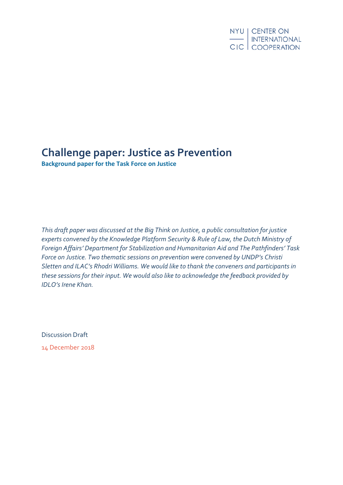# **Challenge paper: Justice as Prevention**

**Background paper for the Task Force on Justice**

*This draft paper was discussed at the Big Think on Justice, a public consultation for justice experts convened by the Knowledge Platform Security & Rule of Law, the Dutch Ministry of Foreign Affairs' Department for Stabilization and Humanitarian Aid and The Pathfinders' Task Force on Justice. Two thematic sessions on prevention were convened by UNDP's Christi Sletten and ILAC's Rhodri Williams. We would like to thank the conveners and participants in these sessions for their input. We would also like to acknowledge the feedback provided by IDLO's Irene Khan.*

Discussion Draft 14 December 2018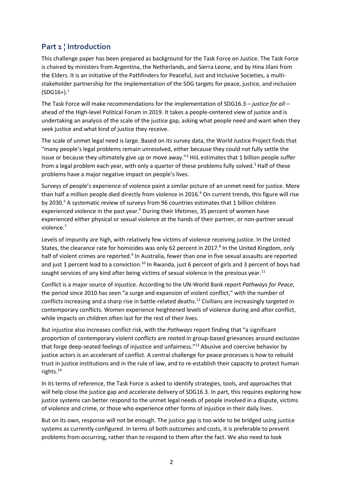# **Part 1 ¦ Introduction**

This challenge paper has been prepared as background for the Task Force on Justice. The Task Force is chaired by ministers from Argentina, the Netherlands, and Sierra Leone, and by Hina Jilani from the Elders. It is an initiative of the Pathfinders for Peaceful, Just and Inclusive Societies, a multistakeholder partnership for the implementation of the SDG targets for peace, justice, and inclusion  $(SDG16+)$ <sup>1</sup>

The Task Force will make recommendations for the implementation of SDG16.3 – *justice for all* – ahead of the High-level Political Forum in 2019. It takes a people-centered view of justice and is undertaking an analysis of the scale of the justice gap, asking what people need and want when they seek justice and what kind of justice they receive.

The scale of unmet legal need is large. Based on its survey data, the World Justice Project finds that "many people's legal problems remain unresolved, either because they could not fully settle the issue or because they ultimately give up or move away."<sup>2</sup> HiiL estimates that 1 billion people suffer from a legal problem each year, with only a quarter of these problems fully solved.<sup>3</sup> Half of these problems have a major negative impact on people's lives.

Surveys of people's experience of violence paint a similar picture of an unmet need for justice. More than half a million people died directly from violence in 2016.<sup>4</sup> On current trends, this figure will rise by 2030.<sup>5</sup> A systematic review of surveys from 96 countries estimates that 1 billion children experienced violence in the past year.<sup>6</sup> During their lifetimes, 35 percent of women have experienced either physical or sexual violence at the hands of their partner, or non-partner sexual violence.<sup>7</sup>

Levels of impunity are high, with relatively few victims of violence receiving justice. In the United States, the clearance rate for homicides was only 62 percent in 2017.<sup>8</sup> In the United Kingdom, only half of violent crimes are reported.<sup>9</sup> In Australia, fewer than one in five sexual assaults are reported and just 1 percent lead to a conviction.<sup>10</sup> In Rwanda, just 6 percent of girls and 3 percent of boys had sought services of any kind after being victims of sexual violence in the previous year.<sup>11</sup>

Conflict is a major source of injustice. According to the UN-World Bank report *Pathways for Peace*, the period since 2010 has seen "a surge and expansion of violent conflict," with the number of conflicts increasing and a sharp rise in battle-related deaths.<sup>12</sup> Civilians are increasingly targeted in contemporary conflicts. Women experience heightened levels of violence during and after conflict, while impacts on children often last for the rest of their lives.

But injustice also increases conflict risk, with the *Pathways* report finding that "a significant proportion of contemporary violent conflicts are rooted in group-based grievances around exclusion that forge deep-seated feelings of injustice and unfairness."<sup>13</sup> Abusive and coercive behavior by justice actors is an accelerant of conflict. A central challenge for peace processes is how to rebuild trust in justice institutions and in the rule of law, and to re-establish their capacity to protect human rights.<sup>14</sup>

In its terms of reference, the Task Force is asked to identify strategies, tools, and approaches that will help close the justice gap and accelerate delivery of SDG16.3. In part, this requires exploring how justice systems can better respond to the unmet legal needs of people involved in a dispute, victims of violence and crime, or those who experience other forms of injustice in their daily lives.

But on its own, response will not be enough. The justice gap is too wide to be bridged using justice systems as currently configured. In terms of both outcomes and costs, it is preferable to prevent problems from occurring, rather than to respond to them after the fact. We also need to look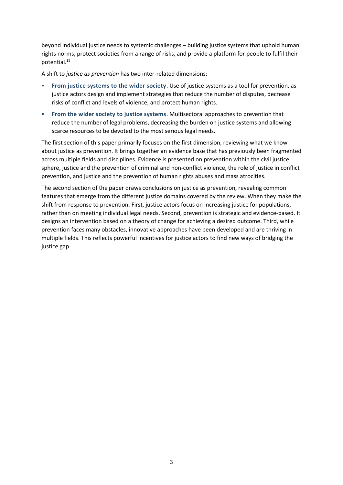beyond individual justice needs to systemic challenges – building justice systems that uphold human rights norms, protect societies from a range of risks, and provide a platform for people to fulfil their potential.<sup>15</sup>

A shift to *justice as prevention* has two inter-related dimensions:

- **From justice systems to the wider society**. Use of justice systems as a tool for prevention, as justice actors design and implement strategies that reduce the number of disputes, decrease risks of conflict and levels of violence, and protect human rights.
- **From the wider society to justice systems**. Multisectoral approaches to prevention that reduce the number of legal problems, decreasing the burden on justice systems and allowing scarce resources to be devoted to the most serious legal needs.

The first section of this paper primarily focuses on the first dimension, reviewing what we know about justice as prevention. It brings together an evidence base that has previously been fragmented across multiple fields and disciplines. Evidence is presented on prevention within the civil justice sphere, justice and the prevention of criminal and non-conflict violence, the role of justice in conflict prevention, and justice and the prevention of human rights abuses and mass atrocities.

The second section of the paper draws conclusions on justice as prevention, revealing common features that emerge from the different justice domains covered by the review. When they make the shift from response to prevention. First, justice actors focus on increasing justice for populations, rather than on meeting individual legal needs. Second, prevention is strategic and evidence-based. It designs an intervention based on a theory of change for achieving a desired outcome. Third, while prevention faces many obstacles, innovative approaches have been developed and are thriving in multiple fields. This reflects powerful incentives for justice actors to find new ways of bridging the justice gap.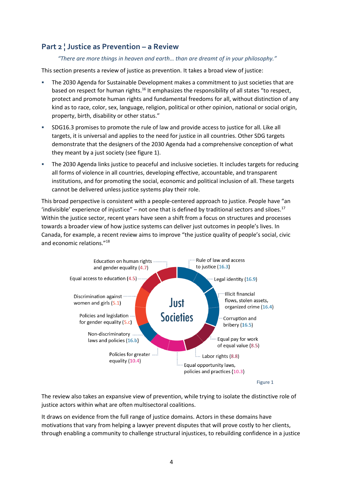# **Part 2 ¦ Justice as Prevention – a Review**

## *"There are more things in heaven and earth… than are dreamt of in your philosophy."*

This section presents a review of justice as prevention. It takes a broad view of justice:

- The 2030 Agenda for Sustainable Development makes a commitment to just societies that are based on respect for human rights.<sup>16</sup> It emphasizes the responsibility of all states "to respect, protect and promote human rights and fundamental freedoms for all, without distinction of any kind as to race, color, sex, language, religion, political or other opinion, national or social origin, property, birth, disability or other status."
- SDG16.3 promises to promote the rule of law and provide access to justice for all. Like all targets, it is universal and applies to the need for justice in all countries. Other SDG targets demonstrate that the designers of the 2030 Agenda had a comprehensive conception of what they meant by a just society (see figure 1).
- The 2030 Agenda links justice to peaceful and inclusive societies. It includes targets for reducing all forms of violence in all countries, developing effective, accountable, and transparent institutions, and for promoting the social, economic and political inclusion of all. These targets cannot be delivered unless justice systems play their role.

This broad perspective is consistent with a people-centered approach to justice. People have "an 'indivisible' experience of injustice" – not one that is defined by traditional sectors and siloes.<sup>17</sup> Within the justice sector, recent years have seen a shift from a focus on structures and processes towards a broader view of how justice systems can deliver just outcomes in people's lives. In Canada, for example, a recent review aims to improve "the justice quality of people's social, civic and economic relations."<sup>18</sup>



The review also takes an expansive view of prevention, while trying to isolate the distinctive role of justice actors within what are often multisectoral coalitions.

It draws on evidence from the full range of justice domains. Actors in these domains have motivations that vary from helping a lawyer prevent disputes that will prove costly to her clients, through enabling a community to challenge structural injustices, to rebuilding confidence in a justice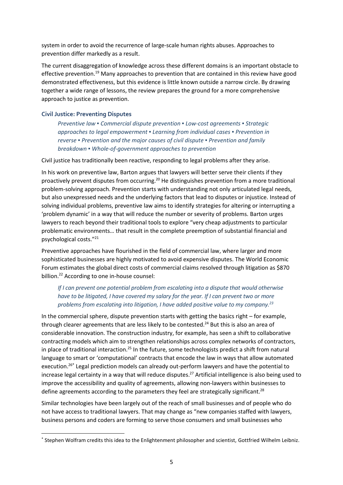system in order to avoid the recurrence of large-scale human rights abuses. Approaches to prevention differ markedly as a result.

The current disaggregation of knowledge across these different domains is an important obstacle to effective prevention.<sup>19</sup> Many approaches to prevention that are contained in this review have good demonstrated effectiveness, but this evidence is little known outside a narrow circle. By drawing together a wide range of lessons, the review prepares the ground for a more comprehensive approach to justice as prevention.

## **Civil Justice: Preventing Disputes**

**.** 

*Preventive law ▪ Commercial dispute prevention ▪ Low-cost agreements ▪ Strategic approaches to legal empowerment ▪ Learning from individual cases ▪ Prevention in reverse ▪ Prevention and the major causes of civil dispute ▪ Prevention and family breakdown ▪ Whole-of-government approaches to prevention*

#### Civil justice has traditionally been reactive, responding to legal problems after they arise.

In his work on preventive law, Barton argues that lawyers will better serve their clients if they proactively prevent disputes from occurring.<sup>20</sup> He distinguishes prevention from a more traditional problem-solving approach. Prevention starts with understanding not only articulated legal needs, but also unexpressed needs and the underlying factors that lead to disputes or injustice. Instead of solving individual problems, preventive law aims to identify strategies for altering or interrupting a 'problem dynamic' in a way that will reduce the number or severity of problems. Barton urges lawyers to reach beyond their traditional tools to explore "very cheap adjustments to particular problematic environments… that result in the complete preemption of substantial financial and psychological costs."<sup>21</sup>

Preventive approaches have flourished in the field of commercial law, where larger and more sophisticated businesses are highly motivated to avoid expensive disputes. The World Economic Forum estimates the global direct costs of commercial claims resolved through litigation as \$870 billion. <sup>22</sup> According to one in-house counsel:

# *If I can prevent one potential problem from escalating into a dispute that would otherwise have to be litigated, I have covered my salary for the year. If I can prevent two or more problems from escalating into litigation, I have added positive value to my company.<sup>23</sup>*

In the commercial sphere, dispute prevention starts with getting the basics right – for example, through clearer agreements that are less likely to be contested.<sup>24</sup> But this is also an area of considerable innovation. The construction industry, for example, has seen a shift to collaborative contracting models which aim to strengthen relationships across complex networks of contractors, in place of traditional interaction.<sup>25</sup> In the future, some technologists predict a shift from natural language to smart or 'computational' contracts that encode the law in ways that allow automated execution.<sup>26\*</sup> Legal prediction models can already out-perform lawyers and have the potential to increase legal certainty in a way that will reduce disputes. <sup>27</sup> Artificial intelligence is also being used to improve the accessibility and quality of agreements, allowing non-lawyers within businesses to define agreements according to the parameters they feel are strategically significant.<sup>28</sup>

Similar technologies have been largely out of the reach of small businesses and of people who do not have access to traditional lawyers. That may change as "new companies staffed with lawyers, business persons and coders are forming to serve those consumers and small businesses who

<sup>\*</sup> Stephen Wolfram credits this idea to the Enlightenment philosopher and scientist, Gottfried Wilhelm Leibniz.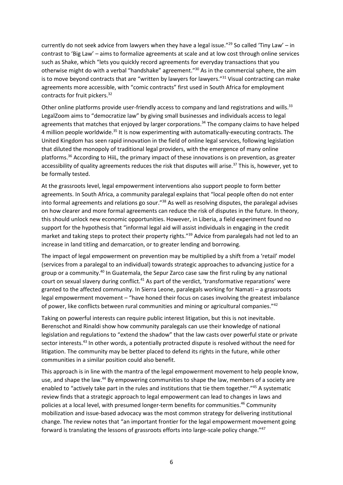currently do not seek advice from lawyers when they have a legal issue."<sup>29</sup> So called 'Tiny Law' – in contrast to 'Big Law' – aims to formalize agreements at scale and at low cost through online services such as Shake, which "lets you quickly record agreements for everyday transactions that you otherwise might do with a verbal "handshake" agreement."<sup>30</sup> As in the commercial sphere, the aim is to move beyond contracts that are "written by lawyers for lawyers."<sup>31</sup> Visual contracting can make agreements more accessible, with "comic contracts" first used in South Africa for employment contracts for fruit pickers.<sup>32</sup>

Other online platforms provide user-friendly access to company and land registrations and wills.<sup>33</sup> LegalZoom aims to "democratize law" by giving small businesses and individuals access to legal agreements that matches that enjoyed by larger corporations.<sup>34</sup> The company claims to have helped 4 million people worldwide.<sup>35</sup> It is now experimenting with automatically-executing contracts. The United Kingdom has seen rapid innovation in the field of online legal services, following legislation that diluted the monopoly of traditional legal providers, with the emergence of many online platforms.<sup>36</sup> According to HiiL, the primary impact of these innovations is on prevention, as greater accessibility of quality agreements reduces the risk that disputes will arise.<sup>37</sup> This is, however, yet to be formally tested.

At the grassroots level, legal empowerment interventions also support people to form better agreements. In South Africa, a community paralegal explains that "local people often do not enter into formal agreements and relations go sour."<sup>38</sup> As well as resolving disputes, the paralegal advises on how clearer and more formal agreements can reduce the risk of disputes in the future. In theory, this should unlock new economic opportunities. However, in Liberia, a field experiment found no support for the hypothesis that "informal legal aid will assist individuals in engaging in the credit market and taking steps to protect their property rights."<sup>39</sup> Advice from paralegals had not led to an increase in land titling and demarcation, or to greater lending and borrowing.

The impact of legal empowerment on prevention may be multiplied by a shift from a 'retail' model (services from a paralegal to an individual) towards strategic approaches to advancing justice for a group or a community.<sup>40</sup> In Guatemala, the Sepur Zarco case saw the first ruling by any national court on sexual slavery during conflict.<sup>41</sup> As part of the verdict, 'transformative reparations' were granted to the affected community. In Sierra Leone, paralegals working for Namati – a grassroots legal empowerment movement – "have honed their focus on cases involving the greatest imbalance of power, like conflicts between rural communities and mining or agricultural companies."<sup>42</sup>

Taking on powerful interests can require public interest litigation, but this is not inevitable. Berenschot and Rinaldi show how community paralegals can use their knowledge of national legislation and regulations to "extend the shadow" that the law casts over powerful state or private sector interests.<sup>43</sup> In other words, a potentially protracted dispute is resolved without the need for litigation. The community may be better placed to defend its rights in the future, while other communities in a similar position could also benefit.

This approach is in line with the mantra of the legal empowerment movement to help people know, use, and shape the law.<sup>44</sup> By empowering communities to shape the law, members of a society are enabled to "actively take part in the rules and institutions that tie them together."45 A systematic review finds that a strategic approach to legal empowerment can lead to changes in laws and policies at a local level, with presumed longer-term benefits for communities.<sup>46</sup> Community mobilization and issue-based advocacy was the most common strategy for delivering institutional change. The review notes that "an important frontier for the legal empowerment movement going forward is translating the lessons of grassroots efforts into large-scale policy change."47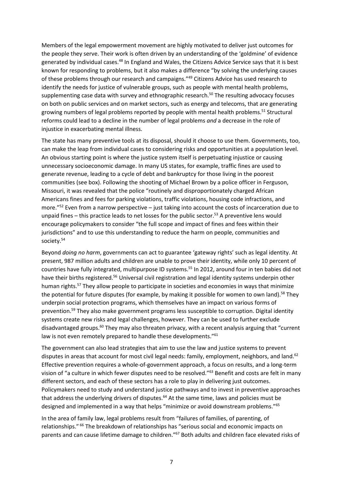Members of the legal empowerment movement are highly motivated to deliver just outcomes for the people they serve. Their work is often driven by an understanding of the 'goldmine' of evidence generated by individual cases.<sup>48</sup> In England and Wales, the Citizens Advice Service says that it is best known for responding to problems, but it also makes a difference "by solving the underlying causes of these problems through our research and campaigns."<sup>49</sup> Citizens Advice has used research to identify the needs for justice of vulnerable groups, such as people with mental health problems, supplementing case data with survey and ethnographic research.<sup>50</sup> The resulting advocacy focuses on both on public services and on market sectors, such as energy and telecoms, that are generating growing numbers of legal problems reported by people with mental health problems.<sup>51</sup> Structural reforms could lead to a decline in the number of legal problems *and* a decrease in the role of injustice in exacerbating mental illness.

The state has many preventive tools at its disposal, should it choose to use them. Governments, too, can make the leap from individual cases to considering risks and opportunities at a population level. An obvious starting point is where the justice system itself is perpetuating injustice or causing unnecessary socioeconomic damage. In many US states, for example, traffic fines are used to generate revenue, leading to a cycle of debt and bankruptcy for those living in the poorest communities (see box). Following the shooting of Michael Brown by a police officer in Ferguson, Missouri, it was revealed that the police "routinely and disproportionately charged African Americans fines and fees for parking violations, traffic violations, housing code infractions, and more."<sup>52</sup> Even from a narrow perspective – just taking into account the costs of incarceration due to unpaid fines – this practice leads to net losses for the public sector.<sup>53</sup> A preventive lens would encourage policymakers to consider "the full scope and impact of fines and fees within their jurisdictions" and to use this understanding to reduce the harm on people, communities and society.<sup>54</sup>

Beyond *doing no harm*, governments can act to guarantee 'gateway rights' such as legal identity. At present, 987 million adults and children are unable to prove their identity, while only 10 percent of countries have fully integrated, multipurpose ID systems.<sup>55</sup> In 2012, around four in ten babies did not have their births registered.<sup>56</sup> Universal civil registration and legal identity systems underpin other human rights.<sup>57</sup> They allow people to participate in societies and economies in ways that minimize the potential for future disputes (for example, by making it possible for women to own land).<sup>58</sup> They underpin social protection programs, which themselves have an impact on various forms of prevention.<sup>59</sup> They also make government programs less susceptible to corruption. Digital identity systems create new risks and legal challenges, however. They can be used to further exclude disadvantaged groups.<sup>60</sup> They may also threaten privacy, with a recent analysis arguing that "current law is not even remotely prepared to handle these developments."<sup>61</sup>

The government can also lead strategies that aim to use the law and justice systems to prevent disputes in areas that account for most civil legal needs: family, employment, neighbors, and land.<sup>62</sup> Effective prevention requires a whole-of-government approach, a focus on results, and a long-term vision of "a culture in which fewer disputes need to be resolved."<sup>63</sup> Benefit and costs are felt in many different sectors, and each of these sectors has a role to play in delivering just outcomes. Policymakers need to study and understand justice pathways and to invest in preventive approaches that address the underlying drivers of disputes.<sup>64</sup> At the same time, laws and policies must be designed and implemented in a way that helps "minimize or avoid downstream problems."<sup>65</sup>

In the area of family law, legal problems result from "failures of families, of parenting, of relationships." <sup>66</sup> The breakdown of relationships has "serious social and economic impacts on parents and can cause lifetime damage to children."<sup>67</sup> Both adults and children face elevated risks of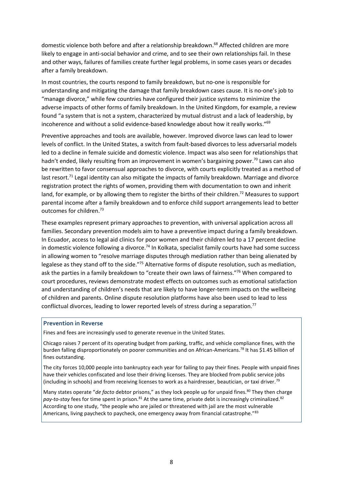domestic violence both before and after a relationship breakdown. <sup>68</sup> Affected children are more likely to engage in anti-social behavior and crime, and to see their own relationships fail. In these and other ways, failures of families create further legal problems, in some cases years or decades after a family breakdown.

In most countries, the courts respond to family breakdown, but no-one is responsible for understanding and mitigating the damage that family breakdown cases cause. It is no-one's job to "manage divorce," while few countries have configured their justice systems to minimize the adverse impacts of other forms of family breakdown. In the United Kingdom, for example, a review found "a system that is not a system, characterized by mutual distrust and a lack of leadership, by incoherence and without a solid evidence-based knowledge about how it really works."<sup>69</sup>

Preventive approaches and tools are available, however. Improved divorce laws can lead to lower levels of conflict. In the United States, a switch from fault-based divorces to less adversarial models led to a decline in female suicide and domestic violence. Impact was also seen for relationships that hadn't ended, likely resulting from an improvement in women's bargaining power.<sup>70</sup> Laws can also be rewritten to favor consensual approaches to divorce, with courts explicitly treated as a method of last resort.<sup>71</sup> Legal identity can also mitigate the impacts of family breakdown. Marriage and divorce registration protect the rights of women, providing them with documentation to own and inherit land, for example, or by allowing them to register the births of their children.<sup>72</sup> Measures to support parental income after a family breakdown and to enforce child support arrangements lead to better outcomes for children.<sup>73</sup>

These examples represent primary approaches to prevention, with universal application across all families. Secondary prevention models aim to have a preventive impact during a family breakdown. In Ecuador, access to legal aid clinics for poor women and their children led to a 17 percent decline in domestic violence following a divorce.<sup>74</sup> In Kolkata, specialist family courts have had some success in allowing women to "resolve marriage disputes through mediation rather than being alienated by legalese as they stand off to the side."<sup>75</sup> Alternative forms of dispute resolution, such as mediation, ask the parties in a family breakdown to "create their own laws of fairness."<sup>76</sup> When compared to court procedures, reviews demonstrate modest effects on outcomes such as emotional satisfaction and understanding of children's needs that are likely to have longer-term impacts on the wellbeing of children and parents. Online dispute resolution platforms have also been used to lead to less conflictual divorces, leading to lower reported levels of stress during a separation.<sup>77</sup>

#### **Prevention in Reverse**

Fines and fees are increasingly used to generate revenue in the United States.

Chicago raises 7 percent of its operating budget from parking, traffic, and vehicle compliance fines, with the burden falling disproportionately on poorer communities and on African-Americans.<sup>78</sup> It has \$1.45 billion of fines outstanding.

The city forces 10,000 people into bankruptcy each year for failing to pay their fines. People with unpaid fines have their vehicles confiscated and lose their driving licenses. They are blocked from public service jobs (including in schools) and from receiving licenses to work as a hairdresser, beautician, or taxi driver.<sup>79</sup>

Many states operate "*de facto* debtor prisons," as they lock people up for unpaid fines.<sup>80</sup> They then charge pay-to-stay fees for time spent in prison.<sup>81</sup> At the same time, private debt is increasingly criminalized.<sup>82</sup> According to one study, "the people who are jailed or threatened with jail are the most vulnerable Americans, living paycheck to paycheck, one emergency away from financial catastrophe."<sup>83</sup>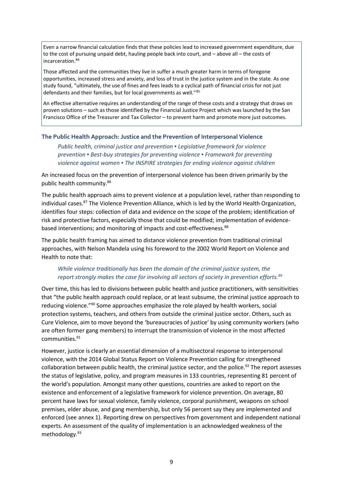Even a narrow financial calculation finds that these policies lead to increased government expenditure, due to the cost of pursuing unpaid debt, hauling people back into court, and – above all – the costs of incarceration. 84

Those affected and the communities they live in suffer a much greater harm in terms of foregone opportunities, increased stress and anxiety, and loss of trust in the justice system and in the state. As one study found, "ultimately, the use of fines and fees leads to a cyclical path of financial crisis for not just defendants and their families, but for local governments as well."<sup>85</sup>

An effective alternative requires an understanding of the range of these costs and a strategy that draws on proven solutions – such as those identified by the Financial Justice Project which was launched by the San Francisco Office of the Treasurer and Tax Collector – to prevent harm and promote more just outcomes.

#### **The Public Health Approach: Justice and the Prevention of Interpersonal Violence**

*Public health, criminal justice and prevention ▪ Legislative framework for violence prevention ▪ Best-buy strategies for preventing violence ▪ Framework for preventing violence against women ▪ The INSPIRE strategies for ending violence against children*

An increased focus on the prevention of interpersonal violence has been driven primarily by the public health community.<sup>86</sup>

The public health approach aims to prevent violence at a population level, rather than responding to individual cases.<sup>87</sup> The Violence Prevention Alliance, which is led by the World Health Organization, identifies four steps: collection of data and evidence on the scope of the problem; identification of risk and protective factors, especially those that could be modified; implementation of evidencebased interventions; and monitoring of impacts and cost-effectiveness.<sup>88</sup>

The public health framing has aimed to distance violence prevention from traditional criminal approaches, with Nelson Mandela using his foreword to the 2002 World Report on Violence and Health to note that:

# *While violence traditionally has been the domain of the criminal justice system, the report strongly makes the case for involving all sectors of society in prevention efforts.<sup>89</sup>*

Over time, this has led to divisions between public health and justice practitioners, with sensitivities that "the public health approach could replace, or at least subsume, the criminal justice approach to reducing violence."<sup>90</sup> Some approaches emphasize the role played by health workers, social protection systems, teachers, and others from outside the criminal justice sector. Others, such as Cure Violence, aim to move beyond the 'bureaucracies of justice' by using community workers (who are often former gang members) to interrupt the transmission of violence in the most affected communities.<sup>91</sup>

However, justice is clearly an essential dimension of a multisectoral response to interpersonal violence, with the 2014 Global Status Report on Violence Prevention calling for strengthened collaboration between public health, the criminal justice sector, and the police.<sup>92</sup> The report assesses the status of legislative, policy, and program measures in 133 countries, representing 81 percent of the world's population. Amongst many other questions, countries are asked to report on the existence and enforcement of a legislative framework for violence prevention. On average, 80 percent have laws for sexual violence, family violence, corporal punishment, weapons on school premises, elder abuse, and gang membership, but only 56 percent say they are implemented and enforced (see annex 1). Reporting drew on perspectives from government and independent national experts. An assessment of the quality of implementation is an acknowledged weakness of the methodology.93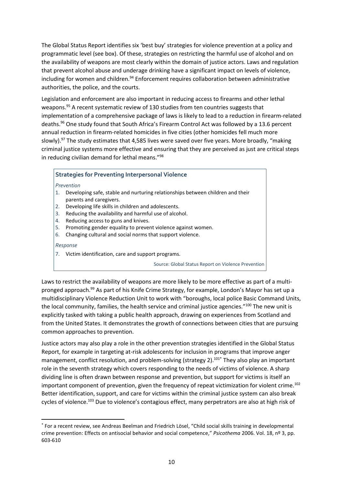The Global Status Report identifies six 'best buy' strategies for violence prevention at a policy and programmatic level (see box). Of these, strategies on restricting the harmful use of alcohol and on the availability of weapons are most clearly within the domain of justice actors. Laws and regulation that prevent alcohol abuse and underage drinking have a significant impact on levels of violence, including for women and children.<sup>94</sup> Enforcement requires collaboration between administrative authorities, the police, and the courts.

Legislation and enforcement are also important in reducing access to firearms and other lethal weapons.<sup>95</sup> A recent systematic review of 130 studies from ten countries suggests that implementation of a comprehensive package of laws is likely to lead to a reduction in firearm-related deaths.<sup>96</sup> One study found that South Africa's Firearm Control Act was followed by a 13.6 percent annual reduction in firearm-related homicides in five cities (other homicides fell much more slowly).<sup>97</sup> The study estimates that 4,585 lives were saved over five years. More broadly, "making criminal justice systems more effective and ensuring that they are perceived as just are critical steps in reducing civilian demand for lethal means."<sup>98</sup>

# **Strategies for Preventing Interpersonal Violence**

1. *Prevention*

- 1. Developing safe, stable and nurturing relationships between children and their parents and caregivers.
- 2. Developing life skills in children and adolescents.
- 3. Reducing the availability and harmful use of alcohol.
- 4. Reducing access to guns and knives.
- 5. Promoting gender equality to prevent violence against women.
- 6. Changing cultural and social norms that support violence.

*Response*

**.** 

7. Victim identification, care and support programs.

Source: Global Status Report on Violence Prevention

Laws to restrict the availability of weapons are more likely to be more effective as part of a multipronged approach.<sup>99</sup> As part of his Knife Crime Strategy, for example, London's Mayor has set up a multidisciplinary Violence Reduction Unit to work with "boroughs, local police Basic Command Units, the local community, families, the health service and criminal justice agencies."<sup>100</sup> The new unit is explicitly tasked with taking a public health approach, drawing on experiences from Scotland and from the United States. It demonstrates the growth of connections between cities that are pursuing common approaches to prevention.

Justice actors may also play a role in the other prevention strategies identified in the Global Status Report, for example in targeting at-risk adolescents for inclusion in programs that improve anger management, conflict resolution, and problem-solving (strategy 2).<sup>101\*</sup> They also play an important role in the seventh strategy which covers responding to the needs of victims of violence. A sharp dividing line is often drawn between response and prevention, but support for victims is itself an important component of prevention, given the frequency of repeat victimization for violent crime.<sup>102</sup> Better identification, support, and care for victims within the criminal justice system can also break cycles of violence.<sup>103</sup> Due to violence's contagious effect, many perpetrators are also at high risk of

<sup>\*</sup> For a recent review, see Andreas Beelman and Friedrich Lösel, "Child social skills training in developmental crime prevention: Effects on antisocial behavior and social competence," *Psicothema* 2006. Vol. 18, nº 3, pp. 603-610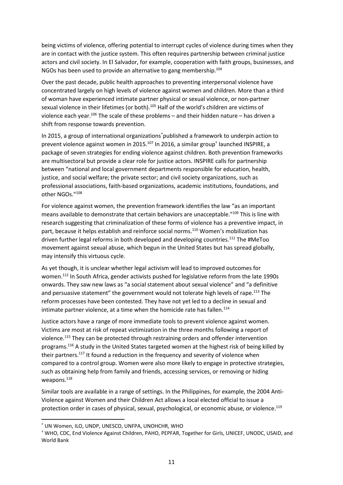being victims of violence, offering potential to interrupt cycles of violence during times when they are in contact with the justice system. This often requires partnership between criminal justice actors and civil society. In El Salvador, for example, cooperation with faith groups, businesses, and NGOs has been used to provide an alternative to gang membership.<sup>104</sup>

Over the past decade, public health approaches to preventing interpersonal violence have concentrated largely on high levels of violence against women and children. More than a third of woman have experienced intimate partner physical or sexual violence, or non-partner sexual violence in their lifetimes (or both).<sup>105</sup> Half of the world's children are victims of violence each year.<sup>106</sup> The scale of these problems – and their hidden nature – has driven a shift from response towards prevention.

In 2015, a group of international organizations\*published a framework to underpin action to prevent violence against women in 2015.<sup>107</sup> In 2016, a similar group<sup>†</sup> launched INSPIRE, a package of seven strategies for ending violence against children. Both prevention frameworks are multisectoral but provide a clear role for justice actors. INSPIRE calls for partnership between "national and local government departments responsible for education, health, justice, and social welfare; the private sector; and civil society organizations, such as professional associations, faith-based organizations, academic institutions, foundations, and other NGOs."<sup>108</sup>

For violence against women, the prevention framework identifies the law "as an important means available to demonstrate that certain behaviors are unacceptable."<sup>109</sup> This is line with research suggesting that criminalization of these forms of violence has a preventive impact, in part, because it helps establish and reinforce social norms.<sup>110</sup> Women's mobilization has driven further legal reforms in both developed and developing countries.<sup>111</sup> The #MeToo movement against sexual abuse, which begun in the United States but has spread globally, may intensify this virtuous cycle.

As yet though, it is unclear whether legal activism will lead to improved outcomes for women.<sup>112</sup> In South Africa, gender activists pushed for legislative reform from the late 1990s onwards. They saw new laws as "a social statement about sexual violence" and "a definitive and persuasive statement" the government would not tolerate high levels of rape.<sup>113</sup> The reform processes have been contested. They have not yet led to a decline in sexual and intimate partner violence, at a time when the homicide rate has fallen.<sup>114</sup>

Justice actors have a range of more immediate tools to prevent violence against women. Victims are most at risk of repeat victimization in the three months following a report of violence.<sup>115</sup> They can be protected through restraining orders and offender intervention programs.<sup>116</sup> A study in the United States targeted women at the highest risk of being killed by their partners.<sup>117</sup> It found a reduction in the frequency and severity of violence when compared to a control group. Women were also more likely to engage in protective strategies, such as obtaining help from family and friends, accessing services, or removing or hiding weapons.<sup>118</sup>

Similar tools are available in a range of settings. In the Philippines, for example, the 2004 Anti-Violence against Women and their Children Act allows a local elected official to issue a protection order in cases of physical, sexual, psychological, or economic abuse, or violence.<sup>119</sup>

**.** 

<sup>\*</sup> UN Women, ILO, UNDP, UNESCO, UNFPA, UNOHCHR, WHO

<sup>†</sup> WHO, CDC, End Violence Against Children, PAHO, PEPFAR, Together for Girls, UNICEF, UNODC, USAID, and World Bank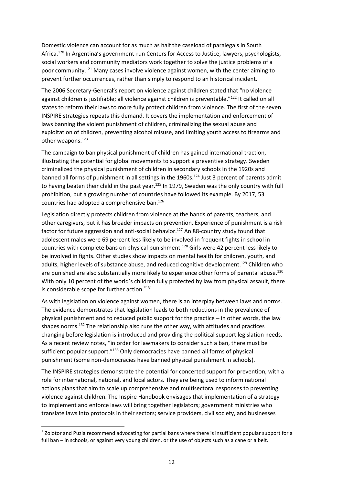Domestic violence can account for as much as half the caseload of paralegals in South Africa.<sup>120</sup> In Argentina's government-run Centers for Access to Justice, lawyers, psychologists, social workers and community mediators work together to solve the justice problems of a poor community.<sup>121</sup> Many cases involve violence against women, with the center aiming to prevent further occurrences, rather than simply to respond to an historical incident.

The 2006 Secretary-General's report on violence against children stated that "no violence against children is justifiable; all violence against children is preventable."<sup>122</sup> It called on all states to reform their laws to more fully protect children from violence. The first of the seven INSPIRE strategies repeats this demand. It covers the implementation and enforcement of laws banning the violent punishment of children, criminalizing the sexual abuse and exploitation of children, preventing alcohol misuse, and limiting youth access to firearms and other weapons.<sup>123</sup>

The campaign to ban physical punishment of children has gained international traction, illustrating the potential for global movements to support a preventive strategy. Sweden criminalized the physical punishment of children in secondary schools in the 1920s and banned all forms of punishment in all settings in the 1960s.<sup>124</sup> Just 3 percent of parents admit to having beaten their child in the past year.<sup>125</sup> In 1979, Sweden was the only country with full prohibition, but a growing number of countries have followed its example. By 2017, 53 countries had adopted a comprehensive ban. 126

Legislation directly protects children from violence at the hands of parents, teachers, and other caregivers, but it has broader impacts on prevention. Experience of punishment is a risk factor for future aggression and anti-social behavior.<sup>127</sup> An 88-country study found that adolescent males were 69 percent less likely to be involved in frequent fights in school in countries with complete bans on physical punishment.<sup>128</sup> Girls were 42 percent less likely to be involved in fights. Other studies show impacts on mental health for children, youth, and adults, higher levels of substance abuse, and reduced cognitive development.<sup>129</sup> Children who are punished are also substantially more likely to experience other forms of parental abuse.<sup>130</sup> With only 10 percent of the world's children fully protected by law from physical assault, there is considerable scope for further action.\*131

As with legislation on violence against women, there is an interplay between laws and norms. The evidence demonstrates that legislation leads to both reductions in the prevalence of physical punishment and to reduced public support for the practice – in other words, the law shapes norms. <sup>132</sup> The relationship also runs the other way, with attitudes and practices changing before legislation is introduced and providing the political support legislation needs. As a recent review notes, "in order for lawmakers to consider such a ban, there must be sufficient popular support."<sup>133</sup> Only democracies have banned all forms of physical punishment (some non-democracies have banned physical punishment in schools).

The INSPIRE strategies demonstrate the potential for concerted support for prevention, with a role for international, national, and local actors. They are being used to inform national actions plans that aim to scale up comprehensive and multisectoral responses to preventing violence against children. The Inspire Handbook envisages that implementation of a strategy to implement and enforce laws will bring together legislators; government ministries who translate laws into protocols in their sectors; service providers, civil society, and businesses

 $\overline{a}$ 

<sup>\*</sup> Zolotor and Puzia recommend advocating for partial bans where there is insufficient popular support for a full ban – in schools, or against very young children, or the use of objects such as a cane or a belt.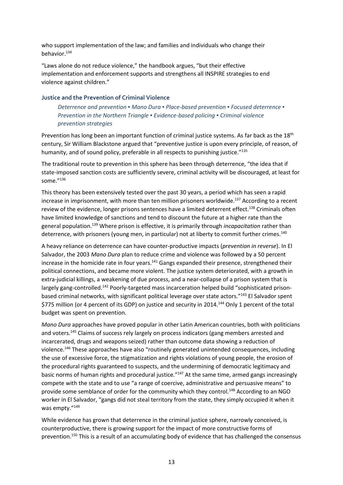who support implementation of the law; and families and individuals who change their behavior.<sup>134</sup>

"Laws alone do not reduce violence," the handbook argues, "but their effective implementation and enforcement supports and strengthens all INSPIRE strategies to end violence against children."

#### **Justice and the Prevention of Criminal Violence**

*Deterrence and prevention ▪ Mano Dura ▪ Place-based prevention ▪ Focused deterrence ▪ Prevention in the Northern Triangle ▪ Evidence-based policing ▪ Criminal violence prevention strategies*

Prevention has long been an important function of criminal justice systems. As far back as the 18<sup>th</sup> century, Sir William Blackstone argued that "preventive justice is upon every principle, of reason, of humanity, and of sound policy, preferable in all respects to punishing justice."<sup>135</sup>

The traditional route to prevention in this sphere has been through deterrence, "the idea that if state-imposed sanction costs are sufficiently severe, criminal activity will be discouraged, at least for some $^{''136}$ 

This theory has been extensively tested over the past 30 years, a period which has seen a rapid increase in imprisonment, with more than ten million prisoners worldwide.<sup>137</sup> According to a recent review of the evidence, longer prisons sentences have a limited deterrent effect.<sup>138</sup> Criminals often have limited knowledge of sanctions and tend to discount the future at a higher rate than the general population.<sup>139</sup> Where prison is effective, it is primarily through *incapacitation* rather than deterrence, with prisoners (young men, in particular) not at liberty to commit further crimes.<sup>140</sup>

A heavy reliance on deterrence can have counter-productive impacts (*prevention in reverse*). In El Salvador, the 2003 *Mano Dura* plan to reduce crime and violence was followed by a 50 percent increase in the homicide rate in four years.<sup>141</sup> Gangs expanded their presence, strengthened their political connections, and became more violent. The justice system deteriorated, with a growth in extra-judicial killings, a weakening of due process, and a near-collapse of a prison system that is largely gang-controlled.<sup>142</sup> Poorly-targeted mass incarceration helped build "sophisticated prisonbased criminal networks, with significant political leverage over state actors."<sup>143</sup> El Salvador spent \$775 million (or 4 percent of its GDP) on justice and security in 2014.<sup>144</sup> Only 1 percent of the total budget was spent on prevention.

*Mano Dura* approaches have proved popular in other Latin American countries, both with politicians and voters.<sup>145</sup> Claims of success rely largely on process indicators (gang members arrested and incarcerated, drugs and weapons seized) rather than outcome data showing a reduction of violence.<sup>146</sup> These approaches have also "routinely generated unintended consequences, including the use of excessive force, the stigmatization and rights violations of young people, the erosion of the procedural rights guaranteed to suspects, and the undermining of democratic legitimacy and basic norms of human rights and procedural justice."<sup>147</sup> At the same time, armed gangs increasingly compete with the state and to use "a range of coercive, administrative and persuasive means" to provide some semblance of order for the community which they control.<sup>148</sup> According to an NGO worker in El Salvador, "gangs did not steal territory from the state, they simply occupied it when it was empty."149

While evidence has grown that deterrence in the criminal justice sphere, narrowly conceived, is counterproductive, there is growing support for the impact of more constructive forms of prevention.<sup>150</sup> This is a result of an accumulating body of evidence that has challenged the consensus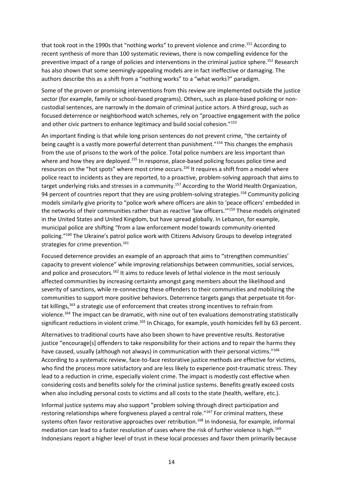that took root in the 1990s that "nothing works" to prevent violence and crime.<sup>151</sup> According to recent synthesis of more than 100 systematic reviews, there is now compelling evidence for the preventive impact of a range of policies and interventions in the criminal justice sphere.<sup>152</sup> Research has also shown that some seemingly-appealing models are in fact ineffective or damaging. The authors describe this as a shift from a "nothing works" to a "what works?" paradigm.

Some of the proven or promising interventions from this review are implemented outside the justice sector (for example, family or school-based programs). Others, such as place-based policing or noncustodial sentences, are narrowly in the domain of criminal justice actors. A third group, such as focused deterrence or neighborhood watch schemes, rely on "proactive engagement with the police and other civic partners to enhance legitimacy and build social cohesion."<sup>153</sup>

An important finding is that while long prison sentences do not prevent crime, "the certainty of being caught is a vastly more powerful deterrent than punishment."<sup>154</sup> This changes the emphasis from the use of prisons to the work of the police. Total police numbers are less important than where and how they are deployed.<sup>155</sup> In response, place-based policing focuses police time and resources on the "hot spots" where most crime occurs.<sup>156</sup> It requires a shift from a model where police react to incidents as they are reported, to a proactive, problem-solving approach that aims to target underlying risks and stresses in a community.<sup>157</sup> According to the World Health Organization, 94 percent of countries report that they are using problem-solving strategies.<sup>158</sup> Community policing models similarly give priority to "police work where officers are akin to 'peace officers' embedded in the networks of their communities rather than as reactive 'law officers.'"<sup>159</sup> These models originated in the United States and United Kingdom, but have spread globally. In Lebanon, for example, municipal police are shifting "from a law enforcement model towards community-oriented policing."<sup>160</sup> The Ukraine's patrol police work with Citizens Advisory Groups to develop integrated strategies for crime prevention.<sup>161</sup>

Focused deterrence provides an example of an approach that aims to "strengthen communities' capacity to prevent violence" while improving relationships between communities, social services, and police and prosecutors.<sup>162</sup> It aims to reduce levels of lethal violence in the most seriously affected communities by increasing certainty amongst gang members about the likelihood and severity of sanctions, while re-connecting these offenders to their communities and mobilizing the communities to support more positive behaviors. Deterrence targets gangs that perpetuate tit-fortat killings,<sup>163</sup> a strategic use of enforcement that creates strong incentives to refrain from violence.<sup>164</sup> The impact can be dramatic, with nine out of ten evaluations demonstrating statistically significant reductions in violent crime.<sup>165</sup> In Chicago, for example, youth homicides fell by 63 percent.

Alternatives to traditional courts have also been shown to have preventive results. Restorative justice "encourage[s] offenders to take responsibility for their actions and to repair the harms they have caused, usually (although not always) in communication with their personal victims."166 According to a systematic review, face-to-face restorative justice methods are effective for victims, who find the process more satisfactory and are less likely to experience post-traumatic stress. They lead to a reduction in crime, especially violent crime. The impact is modestly cost effective when considering costs and benefits solely for the criminal justice systems. Benefits greatly exceed costs when also including personal costs to victims and all costs to the state (health, welfare, etc.).

Informal justice systems may also support "problem solving through direct participation and restoring relationships where forgiveness played a central role."<sup>167</sup> For criminal matters, these systems often favor restorative approaches over retribution.<sup>168</sup> In Indonesia, for example, informal mediation can lead to a faster resolution of cases where the risk of further violence is high.<sup>169</sup> Indonesians report a higher level of trust in these local processes and favor them primarily because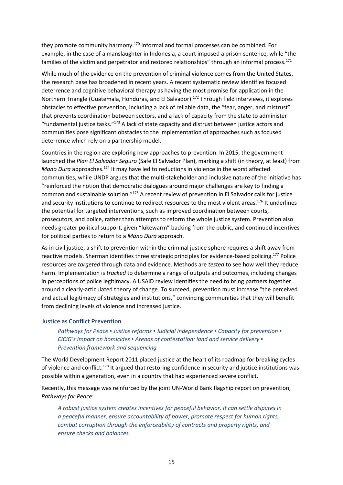they promote community harmony.<sup>170</sup> Informal and formal processes can be combined. For example, in the case of a manslaughter in Indonesia, a court imposed a prison sentence, while "the families of the victim and perpetrator and restored relationships" through an informal process.<sup>171</sup>

While much of the evidence on the prevention of criminal violence comes from the United States, the research base has broadened in recent years. A recent systematic review identifies focused deterrence and cognitive behavioral therapy as having the most promise for application in the Northern Triangle (Guatemala, Honduras, and El Salvador).<sup>172</sup> Through field interviews, it explores obstacles to effective prevention, including a lack of reliable data, the "fear, anger, and mistrust" that prevents coordination between sectors, and a lack of capacity from the state to administer "fundamental justice tasks." $173$  A lack of state capacity and distrust between justice actors and communities pose significant obstacles to the implementation of approaches such as focused deterrence which rely on a partnership model.

Countries in the region are exploring new approaches to prevention. In 2015, the government launched the *Plan El Salvador Seguro* (Safe El Salvador Plan), marking a shift (in theory, at least) from *Mano Dura* approaches.<sup>174</sup> It may have led to reductions in violence in the worst affected communities, while UNDP argues that the multi-stakeholder and inclusive nature of the initiative has "reinforced the notion that democratic dialogues around major challenges are key to finding a common and sustainable solution."<sup>175</sup> A recent review of prevention in El Salvador calls for justice and security institutions to continue to redirect resources to the most violent areas.<sup>176</sup> It underlines the potential for targeted interventions, such as improved coordination between courts, prosecutors, and police, rather than attempts to reform the whole justice system. Prevention also needs greater political support, given "lukewarm" backing from the public, and continued incentives for political parties to return to a *Mano Dura* approach.

As in civil justice, a shift to prevention within the criminal justice sphere requires a shift away from reactive models. Sherman identifies three strategic principles for evidence-based policing.<sup>177</sup> Police resources are *targeted* through data and evidence. Methods are *tested* to see how well they reduce harm. Implementation is *tracked* to determine a range of outputs and outcomes, including changes in perceptions of police legitimacy. A USAID review identifies the need to bring partners together around a clearly-articulated theory of change. To succeed, prevention must increase "the perceived and actual legitimacy of strategies and institutions," convincing communities that they will benefit from declining levels of violence and increased justice.

#### **Justice as Conflict Prevention**

*Pathways for Peace ▪ Justice reforms ▪ Judicial independence ▪ Capacity for prevention ▪ CICIG's impact on homicides ▪ Arenas of contestation: land and service delivery ▪ Prevention framework and sequencing*

The World Development Report 2011 placed justice at the heart of its roadmap for breaking cycles of violence and conflict.<sup>178</sup> It argued that restoring confidence in security and justice institutions was possible within a generation, even in a country that had experienced severe conflict.

Recently, this message was reinforced by the joint UN-World Bank flagship report on prevention, *Pathways for Peace*:

*A robust justice system creates incentives for peaceful behavior. It can settle disputes in a peaceful manner, ensure accountability of power, promote respect for human rights, combat corruption through the enforceability of contracts and property rights, and ensure checks and balances.*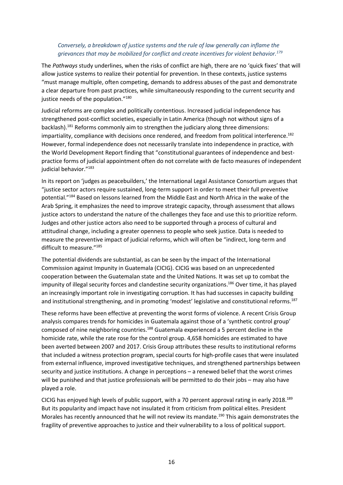# *Conversely, a breakdown of justice systems and the rule of law generally can inflame the grievances that may be mobilized for conflict and create incentives for violent behavior.<sup>179</sup>*

The *Pathways* study underlines, when the risks of conflict are high, there are no 'quick fixes' that will allow justice systems to realize their potential for prevention. In these contexts, justice systems "must manage multiple, often competing, demands to address abuses of the past and demonstrate a clear departure from past practices, while simultaneously responding to the current security and justice needs of the population."<sup>180</sup>

Judicial reforms are complex and politically contentious. Increased judicial independence has strengthened post-conflict societies, especially in Latin America (though not without signs of a backlash).<sup>181</sup> Reforms commonly aim to strengthen the judiciary along three dimensions: impartiality, compliance with decisions once rendered, and freedom from political interference.<sup>182</sup> However, formal independence does not necessarily translate into independence in practice, with the World Development Report finding that "constitutional guarantees of independence and bestpractice forms of judicial appointment often do not correlate with de facto measures of independent judicial behavior."<sup>183</sup>

In its report on 'judges as peacebuilders,' the International Legal Assistance Consortium argues that "justice sector actors require sustained, long-term support in order to meet their full preventive potential."<sup>184</sup> Based on lessons learned from the Middle East and North Africa in the wake of the Arab Spring, it emphasizes the need to improve strategic capacity, through assessment that allows justice actors to understand the nature of the challenges they face and use this to prioritize reform. Judges and other justice actors also need to be supported through a process of cultural and attitudinal change, including a greater openness to people who seek justice. Data is needed to measure the preventive impact of judicial reforms, which will often be "indirect, long-term and difficult to measure."<sup>185</sup>

The potential dividends are substantial, as can be seen by the impact of the International Commission against Impunity in Guatemala (CICIG). CICIG was based on an unprecedented cooperation between the Guatemalan state and the United Nations. It was set up to combat the impunity of illegal security forces and clandestine security organizations.<sup>186</sup> Over time, it has played an increasingly important role in investigating corruption. It has had successes in capacity building and institutional strengthening, and in promoting 'modest' legislative and constitutional reforms.<sup>187</sup>

These reforms have been effective at preventing the worst forms of violence. A recent Crisis Group analysis compares trends for homicides in Guatemala against those of a 'synthetic control group' composed of nine neighboring countries.<sup>188</sup> Guatemala experienced a 5 percent decline in the homicide rate, while the rate rose for the control group. 4,658 homicides are estimated to have been averted between 2007 and 2017. Crisis Group attributes these results to institutional reforms that included a witness protection program, special courts for high-profile cases that were insulated from external influence, improved investigative techniques, and strengthened partnerships between security and justice institutions. A change in perceptions – a renewed belief that the worst crimes will be punished and that justice professionals will be permitted to do their jobs – may also have played a role.

CICIG has enjoyed high levels of public support, with a 70 percent approval rating in early 2018.<sup>189</sup> But its popularity and impact have not insulated it from criticism from political elites. President Morales has recently announced that he will not review its mandate.<sup>190</sup> This again demonstrates the fragility of preventive approaches to justice and their vulnerability to a loss of political support.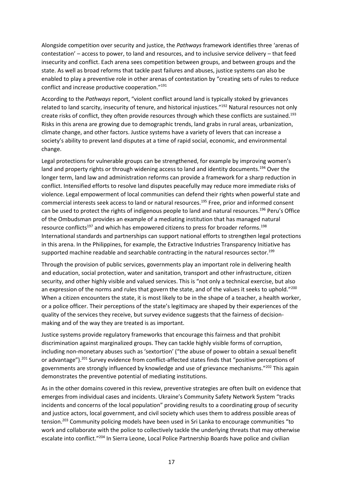Alongside competition over security and justice, the *Pathways* framework identifies three 'arenas of contestation' – access to power, to land and resources, and to inclusive service delivery – that feed insecurity and conflict. Each arena sees competition between groups, and between groups and the state. As well as broad reforms that tackle past failures and abuses, justice systems can also be enabled to play a preventive role in other arenas of contestation by "creating sets of rules to reduce conflict and increase productive cooperation."<sup>191</sup>

According to the *Pathways* report, "violent conflict around land is typically stoked by grievances related to land scarcity, insecurity of tenure, and historical injustices."<sup>192</sup> Natural resources not only create risks of conflict, they often provide resources through which these conflicts are sustained.<sup>193</sup> Risks in this arena are growing due to demographic trends, land grabs in rural areas, urbanization, climate change, and other factors. Justice systems have a variety of levers that can increase a society's ability to prevent land disputes at a time of rapid social, economic, and environmental change.

Legal protections for vulnerable groups can be strengthened, for example by improving women's land and property rights or through widening access to land and identity documents.<sup>194</sup> Over the longer term, land law and administration reforms can provide a framework for a sharp reduction in conflict. Intensified efforts to resolve land disputes peacefully may reduce more immediate risks of violence. Legal empowerment of local communities can defend their rights when powerful state and commercial interests seek access to land or natural resources.<sup>195</sup> Free, prior and informed consent can be used to protect the rights of indigenous people to land and natural resources.<sup>196</sup> Peru's Office of the Ombudsman provides an example of a mediating institution that has managed natural resource conflicts<sup>197</sup> and which has empowered citizens to press for broader reforms.<sup>198</sup> International standards and partnerships can support national efforts to strengthen legal protections in this arena. In the Philippines, for example, the Extractive Industries Transparency Initiative has supported machine readable and searchable contracting in the natural resources sector.<sup>199</sup>

Through the provision of public services, governments play an important role in delivering health and education, social protection, water and sanitation, transport and other infrastructure, citizen security, and other highly visible and valued services. This is "not only a technical exercise, but also an expression of the norms and rules that govern the state, and of the values it seeks to uphold."<sup>200</sup> When a citizen encounters the state, it is most likely to be in the shape of a teacher, a health worker, or a police officer. Their perceptions of the state's legitimacy are shaped by their experiences of the quality of the services they receive, but survey evidence suggests that the fairness of decisionmaking and of the way they are treated is as important.

Justice systems provide regulatory frameworks that encourage this fairness and that prohibit discrimination against marginalized groups. They can tackle highly visible forms of corruption, including non-monetary abuses such as 'sextortion' ("the abuse of power to obtain a sexual benefit or advantage").<sup>201</sup> Survey evidence from conflict-affected states finds that "positive perceptions of governments are strongly influenced by knowledge and use of grievance mechanisms."<sup>202</sup> This again demonstrates the preventive potential of mediating institutions.

As in the other domains covered in this review, preventive strategies are often built on evidence that emerges from individual cases and incidents. Ukraine's Community Safety Network System "tracks incidents and concerns of the local population" providing results to a coordinating group of security and justice actors, local government, and civil society which uses them to address possible areas of tension.<sup>203</sup> Community policing models have been used in Sri Lanka to encourage communities "to work and collaborate with the police to collectively tackle the underlying threats that may otherwise escalate into conflict."<sup>204</sup> In Sierra Leone, Local Police Partnership Boards have police and civilian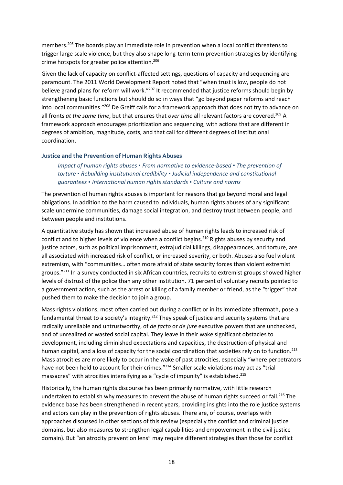members.<sup>205</sup> The boards play an immediate role in prevention when a local conflict threatens to trigger large scale violence, but they also shape long-term term prevention strategies by identifying crime hotspots for greater police attention.<sup>206</sup>

Given the lack of capacity on conflict-affected settings, questions of capacity and sequencing are paramount. The 2011 World Development Report noted that "when trust is low, people do not believe grand plans for reform will work."<sup>207</sup> It recommended that justice reforms should begin by strengthening basic functions but should do so in ways that "go beyond paper reforms and reach into local communities."<sup>208</sup> De Greiff calls for a framework approach that does not try to advance on all fronts *at the same time*, but that ensures that *over time* all relevant factors are covered.<sup>209</sup> A framework approach encourages prioritization and sequencing, with actions that are different in degrees of ambition, magnitude, costs, and that call for different degrees of institutional coordination.

#### **Justice and the Prevention of Human Rights Abuses**

*Impact of human rights abuses ▪ From normative to evidence-based ▪ The prevention of torture ▪ Rebuilding institutional credibility ▪ Judicial independence and constitutional guarantees ▪ International human rights standards ▪ Culture and norms*

The prevention of human rights abuses is important for reasons that go beyond moral and legal obligations. In addition to the harm caused to individuals, human rights abuses of any significant scale undermine communities, damage social integration, and destroy trust between people, and between people and institutions.

A quantitative study has shown that increased abuse of human rights leads to increased risk of conflict and to higher levels of violence when a conflict begins.<sup>210</sup> Rights abuses by security and justice actors, such as political imprisonment, extrajudicial killings, disappearances, and torture, are all associated with increased risk of conflict, or increased severity, or both. Abuses also fuel violent extremism, with "communities… often more afraid of state security forces than violent extremist groups."<sup>211</sup> In a survey conducted in six African countries, recruits to extremist groups showed higher levels of distrust of the police than any other institution. 71 percent of voluntary recruits pointed to a government action, such as the arrest or killing of a family member or friend, as the "trigger" that pushed them to make the decision to join a group.

Mass rights violations, most often carried out during a conflict or in its immediate aftermath, pose a fundamental threat to a society's integrity.<sup>212</sup> They speak of justice and security systems that are radically unreliable and untrustworthy, of *de facto* or *de jure* executive powers that are unchecked, and of unrealized or wasted social capital. They leave in their wake significant obstacles to development, including diminished expectations and capacities, the destruction of physical and human capital, and a loss of capacity for the social coordination that societies rely on to function.<sup>213</sup> Mass atrocities are more likely to occur in the wake of past atrocities, especially "where perpetrators have not been held to account for their crimes."<sup>214</sup> Smaller scale violations may act as "trial massacres" with atrocities intensifying as a "cycle of impunity" is established.<sup>215</sup>

Historically, the human rights discourse has been primarily normative, with little research undertaken to establish why measures to prevent the abuse of human rights succeed or fail.<sup>216</sup> The evidence base has been strengthened in recent years, providing insights into the role justice systems and actors can play in the prevention of rights abuses. There are, of course, overlaps with approaches discussed in other sections of this review (especially the conflict and criminal justice domains, but also measures to strengthen legal capabilities and empowerment in the civil justice domain). But "an atrocity prevention lens" may require different strategies than those for conflict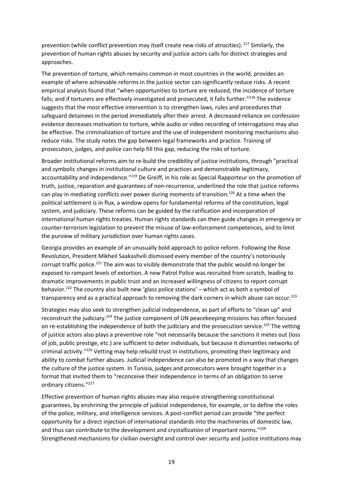prevention (while conflict prevention may itself create new risks of atrocities). <sup>217</sup> Similarly, the prevention of human rights abuses by security and justice actors calls for distinct strategies and approaches.

The prevention of torture, which remains common in most countries in the world, provides an example of where achievable reforms in the justice sector can significantly reduce risks. A recent empirical analysis found that "when opportunities to torture are reduced, the incidence of torture falls; and if torturers are effectively investigated and prosecuted, it falls further."<sup>218</sup> The evidence suggests that the most effective intervention is to strengthen laws, rules and procedures that safeguard detainees in the period immediately after their arrest. A decreased reliance on confession evidence decreases motivation to torture, while audio or video recording of interrogations may also be effective. The criminalization of torture and the use of independent monitoring mechanisms also reduce risks. The study notes the gap between legal frameworks and practice. Training of prosecutors, judges, and police can help fill this gap, reducing the risks of torture.

Broader institutional reforms aim to re-build the credibility of justice institutions, through "practical and symbolic changes in institutional culture and practices and demonstrable legitimacy, accountability and independence."<sup>219</sup> De Greiff, in his role as Special Rapporteur on the promotion of truth, justice, reparation and guarantees of non-recurrence, underlined the role that justice reforms can play in mediating conflicts over power during moments of transition.<sup>220</sup> At a time when the political settlement is in flux, a window opens for fundamental reforms of the constitution, legal system, and judiciary. These reforms can be guided by the ratification and incorporation of international human rights treaties. Human rights standards can then guide changes in emergency or counter-terrorism legislation to prevent the misuse of law-enforcement competences, and to limit the purview of military jurisdiction over human rights cases.

Georgia provides an example of an unusually bold approach to police reform. Following the Rose Revolution, President Mikheil Saakashvili dismissed every member of the country's notoriously corrupt traffic police.<sup>221</sup> The aim was to visibly demonstrate that the public would no longer be exposed to rampant levels of extortion. A new Patrol Police was recruited from scratch, leading to dramatic improvements in public trust and an increased willingness of citizens to report corrupt behavior.<sup>222</sup> The country also built new 'glass police stations' – which act as both a symbol of transparency and as a practical approach to removing the dark corners in which abuse can occur.<sup>223</sup>

Strategies may also seek to strengthen judicial independence, as part of efforts to "clean up" and reconstruct the judiciary.<sup>224</sup> The justice component of UN peacekeeping missions has often focused on re-establishing the independence of both the judiciary and the prosecution service.<sup>225</sup> The vetting of justice actors also plays a preventive role "not necessarily because the sanctions it metes out (loss of job, public prestige, etc.) are sufficient to deter individuals, but because it dismantles networks of criminal activity."<sup>226</sup> Vetting may help rebuild trust in institutions, promoting their legitimacy and ability to combat further abuses. Judicial independence can also be promoted in a way that changes the culture of the justice system. In Tunisia, judges and prosecutors were brought together in a format that invited them to "reconceive their independence in terms of an obligation to serve ordinary citizens."<sup>227</sup>

Effective prevention of human rights abuses may also require strengthening constitutional guarantees, by enshrining the principle of judicial independence, for example, or to define the roles of the police, military, and intelligence services. A post-conflict period can provide "the perfect opportunity for a direct injection of international standards into the machineries of domestic law, and thus can contribute to the development and crystallization of important norms."<sup>228</sup> Strengthened mechanisms for civilian oversight and control over security and justice institutions may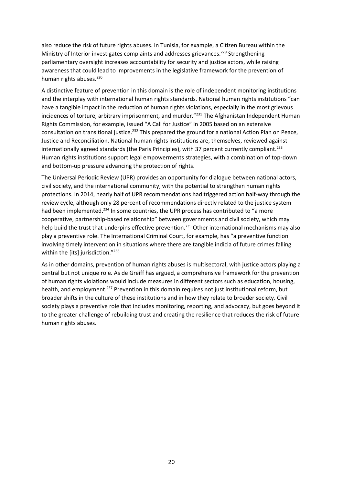also reduce the risk of future rights abuses. In Tunisia, for example, a Citizen Bureau within the Ministry of Interior investigates complaints and addresses grievances.<sup>229</sup> Strengthening parliamentary oversight increases accountability for security and justice actors, while raising awareness that could lead to improvements in the legislative framework for the prevention of human rights abuses.<sup>230</sup>

A distinctive feature of prevention in this domain is the role of independent monitoring institutions and the interplay with international human rights standards. National human rights institutions "can have a tangible impact in the reduction of human rights violations, especially in the most grievous incidences of torture, arbitrary imprisonment, and murder."<sup>231</sup> The Afghanistan Independent Human Rights Commission, for example, issued "A Call for Justice" in 2005 based on an extensive consultation on transitional justice.<sup>232</sup> This prepared the ground for a national Action Plan on Peace, Justice and Reconciliation. National human rights institutions are, themselves, reviewed against internationally agreed standards (the Paris Principles), with 37 percent currently compliant.<sup>233</sup> Human rights institutions support legal empowerments strategies, with a combination of top-down and bottom-up pressure advancing the protection of rights.

The Universal Periodic Review (UPR) provides an opportunity for dialogue between national actors, civil society, and the international community, with the potential to strengthen human rights protections. In 2014, nearly half of UPR recommendations had triggered action half-way through the review cycle, although only 28 percent of recommendations directly related to the justice system had been implemented.<sup>234</sup> In some countries, the UPR process has contributed to "a more cooperative, partnership-based relationship" between governments and civil society, which may help build the trust that underpins effective prevention.<sup>235</sup> Other international mechanisms may also play a preventive role. The International Criminal Court, for example, has "a preventive function involving timely intervention in situations where there are tangible indicia of future crimes falling within the [its] jurisdiction."<sup>236</sup>

As in other domains, prevention of human rights abuses is multisectoral, with justice actors playing a central but not unique role. As de Greiff has argued, a comprehensive framework for the prevention of human rights violations would include measures in different sectors such as education, housing, health, and employment.<sup>237</sup> Prevention in this domain requires not just institutional reform, but broader shifts in the culture of these institutions and in how they relate to broader society. Civil society plays a preventive role that includes monitoring, reporting, and advocacy, but goes beyond it to the greater challenge of rebuilding trust and creating the resilience that reduces the risk of future human rights abuses.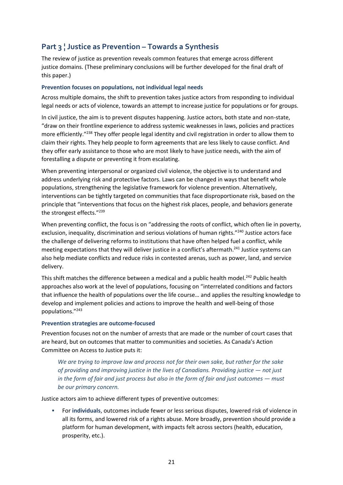# **Part 3 ¦ Justice as Prevention – Towards a Synthesis**

The review of justice as prevention reveals common features that emerge across different justice domains. (These preliminary conclusions will be further developed for the final draft of this paper.)

#### **Prevention focuses on populations, not individual legal needs**

Across multiple domains, the shift to prevention takes justice actors from responding to individual legal needs or acts of violence, towards an attempt to increase justice for populations or for groups.

In civil justice, the aim is to prevent disputes happening. Justice actors, both state and non-state, "draw on their frontline experience to address systemic weaknesses in laws, policies and practices more efficiently."<sup>238</sup> They offer people legal identity and civil registration in order to allow them to claim their rights. They help people to form agreements that are less likely to cause conflict. And they offer early assistance to those who are most likely to have justice needs, with the aim of forestalling a dispute or preventing it from escalating.

When preventing interpersonal or organized civil violence, the objective is to understand and address underlying risk and protective factors. Laws can be changed in ways that benefit whole populations, strengthening the legislative framework for violence prevention. Alternatively, interventions can be tightly targeted on communities that face disproportionate risk, based on the principle that "interventions that focus on the highest risk places, people, and behaviors generate the strongest effects."<sup>239</sup>

When preventing conflict, the focus is on "addressing the roots of conflict, which often lie in poverty, exclusion, inequality, discrimination and serious violations of human rights."<sup>240</sup> Justice actors face the challenge of delivering reforms to institutions that have often helped fuel a conflict, while meeting expectations that they will deliver justice in a conflict's aftermath.<sup>241</sup> Justice systems can also help mediate conflicts and reduce risks in contested arenas, such as power, land, and service delivery.

This shift matches the difference between a medical and a public health model.<sup>242</sup> Public health approaches also work at the level of populations, focusing on "interrelated conditions and factors that influence the health of populations over the life course… and applies the resulting knowledge to develop and implement policies and actions to improve the health and well-being of those populations."<sup>243</sup>

# **Prevention strategies are outcome-focused**

Prevention focuses not on the number of arrests that are made or the number of court cases that are heard, but on outcomes that matter to communities and societies. As Canada's Action Committee on Access to Justice puts it:

*We are trying to improve law and process not for their own sake, but rather for the sake of providing and improving justice in the lives of Canadians. Providing justice — not just in the form of fair and just process but also in the form of fair and just outcomes — must be our primary concern.*

Justice actors aim to achieve different types of preventive outcomes:

▪ For **individuals**, outcomes include fewer or less serious disputes, lowered risk of violence in all its forms, and lowered risk of a rights abuse. More broadly, prevention should provide a platform for human development, with impacts felt across sectors (health, education, prosperity, etc.).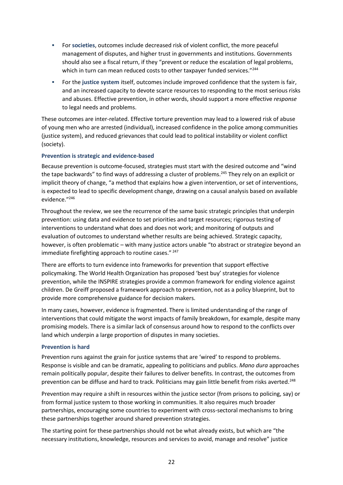- For **societies**, outcomes include decreased risk of violent conflict, the more peaceful management of disputes, and higher trust in governments and institutions. Governments should also see a fiscal return, if they "prevent or reduce the escalation of legal problems, which in turn can mean reduced costs to other taxpayer funded services."<sup>244</sup>
- For the **justice system** itself, outcomes include improved confidence that the system is fair, and an increased capacity to devote scarce resources to responding to the most serious risks and abuses. Effective prevention, in other words, should support a more effective *response*  to legal needs and problems.

These outcomes are inter-related. Effective torture prevention may lead to a lowered risk of abuse of young men who are arrested (individual), increased confidence in the police among communities (justice system), and reduced grievances that could lead to political instability or violent conflict (society).

# **Prevention is strategic and evidence-based**

Because prevention is outcome-focused, strategies must start with the desired outcome and "wind the tape backwards" to find ways of addressing a cluster of problems.<sup>245</sup> They rely on an explicit or implicit theory of change, "a method that explains how a given intervention, or set of interventions, is expected to lead to specific development change, drawing on a causal analysis based on available evidence."<sup>246</sup>

Throughout the review, we see the recurrence of the same basic strategic principles that underpin prevention: using data and evidence to set priorities and target resources; rigorous testing of interventions to understand what does and does not work; and monitoring of outputs and evaluation of outcomes to understand whether results are being achieved. Strategic capacity, however, is often problematic – with many justice actors unable "to abstract or strategize beyond an immediate firefighting approach to routine cases." <sup>247</sup>

There are efforts to turn evidence into frameworks for prevention that support effective policymaking. The World Health Organization has proposed 'best buy' strategies for violence prevention, while the INSPIRE strategies provide a common framework for ending violence against children. De Greiff proposed a framework approach to prevention, not as a policy blueprint, but to provide more comprehensive guidance for decision makers.

In many cases, however, evidence is fragmented. There is limited understanding of the range of interventions that could mitigate the worst impacts of family breakdown, for example, despite many promising models. There is a similar lack of consensus around how to respond to the conflicts over land which underpin a large proportion of disputes in many societies.

#### **Prevention is hard**

Prevention runs against the grain for justice systems that are 'wired' to respond to problems. Response is visible and can be dramatic, appealing to politicians and publics. *Mano dura* approaches remain politically popular, despite their failures to deliver benefits. In contrast, the outcomes from prevention can be diffuse and hard to track. Politicians may gain little benefit from risks averted.<sup>248</sup>

Prevention may require a shift in resources within the justice sector (from prisons to policing, say) or from formal justice system to those working in communities. It also requires much broader partnerships, encouraging some countries to experiment with cross-sectoral mechanisms to bring these partnerships together around shared prevention strategies.

The starting point for these partnerships should not be what already exists, but which are "the necessary institutions, knowledge, resources and services to avoid, manage and resolve" justice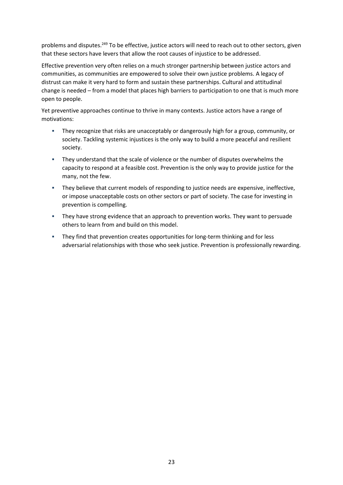problems and disputes.<sup>249</sup> To be effective, justice actors will need to reach out to other sectors, given that these sectors have levers that allow the root causes of injustice to be addressed.

Effective prevention very often relies on a much stronger partnership between justice actors and communities, as communities are empowered to solve their own justice problems. A legacy of distrust can make it very hard to form and sustain these partnerships. Cultural and attitudinal change is needed – from a model that places high barriers to participation to one that is much more open to people.

Yet preventive approaches continue to thrive in many contexts. Justice actors have a range of motivations:

- They recognize that risks are unacceptably or dangerously high for a group, community, or society. Tackling systemic injustices is the only way to build a more peaceful and resilient society.
- They understand that the scale of violence or the number of disputes overwhelms the capacity to respond at a feasible cost. Prevention is the only way to provide justice for the many, not the few.
- **·** They believe that current models of responding to justice needs are expensive, ineffective, or impose unacceptable costs on other sectors or part of society. The case for investing in prevention is compelling.
- They have strong evidence that an approach to prevention works. They want to persuade others to learn from and build on this model.
- **■** They find that prevention creates opportunities for long-term thinking and for less adversarial relationships with those who seek justice. Prevention is professionally rewarding.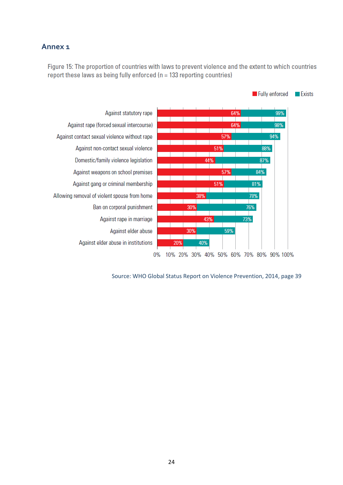# **Annex 1**

Figure 15: The proportion of countries with laws to prevent violence and the extent to which countries report these laws as being fully enforced ( $n = 133$  reporting countries)



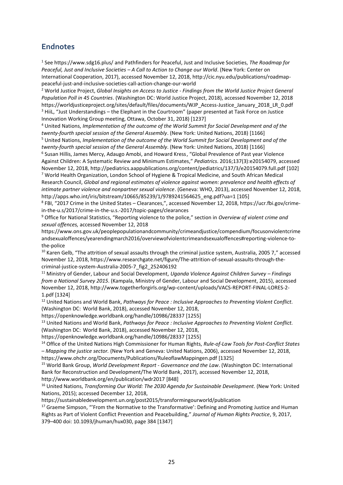# **Endnotes**

1 See https://www.sdg16.plus/ and Pathfinders for Peaceful, Just and Inclusive Societies, *The Roadmap for Peaceful, Just and Inclusive Societies – A Call to Action to Change our World*. (New York: Center on International Cooperation, 2017), accessed November 12, 2018, http://cic.nyu.edu/publications/roadmappeaceful-just-and-inclusive-societies-call-action-change-our-world

<sup>2</sup> World Justice Project, *Global Insights on Access to Justice - Findings from the World Justice Project General Population Poll in 45 Countries*. (Washington DC: World Justice Project, 2018), accessed November 12, 2018 https://worldjusticeproject.org/sites/default/files/documents/WJP\_Access-Justice\_January\_2018\_LR\_0.pdf <sup>3</sup> HiiL, "Just Understandings – the Elephant in the Courtroom" (paper presented at Task Force on Justice Innovation Working Group meeting, Ottawa, October 31, 2018) [1237]

<sup>4</sup> United Nations, *Implementation of the outcome of the World Summit for Social Development and of the twenty-fourth special session of the General Assembly*. (New York: United Nations, 2018) [1166]

<sup>5</sup> United Nations, *Implementation of the outcome of the World Summit for Social Development and of the twenty-fourth special session of the General Assembly*. (New York: United Nations, 2018) [1166]

6 Susan Hillis, James Mercy, Adaugo Amobi, and Howard Kress, "Global Prevalence of Past year Violence Against Children: A Systematic Review and Minimum Estimates," *Pediatrics*. 2016;137(3):e20154079, accessed November 12, 2018, http://pediatrics.aappublications.org/content/pediatrics/137/3/e20154079.full.pdf [102] <sup>7</sup> World Health Organization, London School of Hygiene & Tropical Medicine, and South African Medical Research Council, *Global and regional estimates of violence against women: prevalence and health effects of intimate partner violence and nonpartner sexual violence*. (Geneva: WHO, 2013), accessed November 12, 2018, http://apps.who.int/iris/bitstream/10665/85239/1/9789241564625\_eng.pdf?ua=1 [105]

8 FBI, "2017 Crime in the United States – Clearances,", accessed November 12, 2018, https://ucr.fbi.gov/crimein-the-u.s/2017/crime-in-the-u.s.-2017/topic-pages/clearances

<sup>9</sup> Office for National Statistics, "Reporting violence to the police," section in *Overview of violent crime and sexual offences,* accessed November 12, 2018

https://www.ons.gov.uk/peoplepopulationandcommunity/crimeandjustice/compendium/focusonviolentcrime andsexualoffences/yearendingmarch2016/overviewofviolentcrimeandsexualoffences#reporting-violence-tothe-police

 $10$  Karen Gelb, "The attrition of sexual assaults through the criminal justice system, Australia, 2005 7," accessed November 12, 2018, https://www.researchgate.net/figure/The-attrition-of-sexual-assaults-through-thecriminal-justice-system-Australia-2005-7\_fig2\_252406192

<sup>11</sup> Ministry of Gender, Labour and Social Development, *Uganda Violence Against Children Survey – Findings from a National Survey 2015*. (Kampala, Ministry of Gender, Labour and Social Development, 2015), accessed November 12, 2018, http://www.togetherforgirls.org/wp-content/uploads/VACS-REPORT-FINAL-LORES-2- 1.pdf [1324]

<sup>12</sup> United Nations and World Bank, *Pathways for Peace : Inclusive Approaches to Preventing Violent Conflict.*  (Washington DC: World Bank, 2018), accessed November 12, 2018,

https://openknowledge.worldbank.org/handle/10986/28337 [1255]

<sup>13</sup> United Nations and World Bank, *Pathways for Peace : Inclusive Approaches to Preventing Violent Conflict.*  (Washington DC: World Bank, 2018), accessed November 12, 2018,

https://openknowledge.worldbank.org/handle/10986/28337 [1255]

<sup>14</sup> Office of the United Nations High Commissioner for Human Rights, *Rule-of-Law Tools for Post-Conflict States – Mapping the justice sector.* (New York and Geneva: United Nations, 2006), accessed November 12, 2018, https://www.ohchr.org/Documents/Publications/RuleoflawMappingen.pdf [1325]

<sup>15</sup> World Bank Group, *World Development Report - Governance and the Law*. (Washington DC: International Bank for Reconstruction and Development/The World Bank, 2017), accessed November 12, 2018, http://www.worldbank.org/en/publication/wdr2017 [848]

<sup>16</sup> United Nations, *Transforming Our World: The 2030 Agenda for Sustainable Development*. (New York: United Nations, 2015); accessed December 12, 2018,

https://sustainabledevelopment.un.org/post2015/transformingourworld/publication

<sup>17</sup> Graeme Simpson, "'From the Normative to the Transformative': Defining and Promoting Justice and Human Rights as Part of Violent Conflict Prevention and Peacebuilding," *Journal of Human Rights Practice*, 9, 2017, 379–400 doi: 10.1093/jhuman/hux030, page 384 [1347]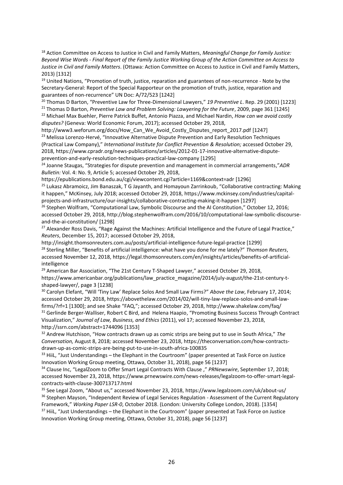<sup>18</sup> Action Committee on Access to Justice in Civil and Family Matters, *Meaningful Change for Family Justice: Beyond Wise Words - Final Report of the Family Justice Working Group of the Action Committee on Access to Justice in Civil and Family Matters*. (Ottawa: Action Committee on Access to Justice in Civil and Family Matters, 2013) [1312]

<sup>19</sup> United Nations, "Promotion of truth, justice, reparation and guarantees of non-recurrence - Note by the Secretary-General: Report of the Special Rapporteur on the promotion of truth, justice, reparation and guarantees of non-recurrence" UN Doc: A/72/523 [1242]

<sup>20</sup> Thomas D Barton, "Preventive Law for Three-Dimensional Lawyers," *19 Preventive L*. Rep. 29 (2001) [1223]

<sup>21</sup> Thomas D Barton, *Preventive Law and Problem Solving: Lawyering for the Future*, 2009, page 361 [1245] <sup>22</sup> Michael Max Buehler, Pierre Patrick Buffet, Antonio Piazza, and Michael Nardin, *How can we avoid costly disputes?* (Geneva: World Economic Forum, 2017); accessed October 29, 2018,

http://www3.weforum.org/docs/How\_Can\_We\_Avoid\_Costly\_Disputes\_report\_2017.pdf [1247] <sup>23</sup> Melissa Lorenzo-Hervé, "Innovative Alternative Dispute Prevention and Early Resolution Techniques (Practical Law Company)," *International Institute for Conflict Prevention & Resolution;* accessed October 29, 2018, https://www.cpradr.org/news-publications/articles/2012-01-17-innovative-alternative-disputeprevention-and-early-resolution-techniques-practical-law-company [1295]

<sup>24</sup> Joanne Staugas, "Strategies for dispute prevention and management in commercial arrangements,"*ADR Bulletin:* Vol. 4: No. 9, Article 5; accessed October 29, 2018,

https://epublications.bond.edu.au/cgi/viewcontent.cgi?article=1169&context=adr [1296]

<sup>25</sup> Lukasz Abramoicz, Jim Banaszak, T G Jayanth, and Homayoun Zarrinkoub, "Collaborative contracting: Making it happen," McKinsey, July 2018; accessed October 29, 2018, https://www.mckinsey.com/industries/capitalprojects-and-infrastructure/our-insights/collaborative-contracting-making-it-happen [1297]

<sup>26</sup> Stephen Wolfram, "Computational Law, Symbolic Discourse and the AI Constitution," October 12, 2016; accessed October 29, 2018, http://blog.stephenwolfram.com/2016/10/computational-law-symbolic-discourseand-the-ai-constitution/ [1298]

<sup>27</sup> Alexander Ross Davis, "Rage Against the Machines: Artificial Intelligence and the Future of Legal Practice," *Reuters*, December 15, 2017; accessed October 29, 2018,

http://insight.thomsonreuters.com.au/posts/artificial-intelligence-future-legal-practice [1299] <sup>28</sup> Sterling Miller, "Benefits of artificial intelligence: what have you done for me lately?" *Thomson Reuters*, accessed November 12, 2018, https://legal.thomsonreuters.com/en/insights/articles/benefits-of-artificialintelligence

 $29$  American Bar Association, "The 21st Century T-Shaped Lawyer," accessed October 29, 2018, https://www.americanbar.org/publications/law\_practice\_magazine/2014/july-august/the-21st-century-tshaped-lawyer/, page 3 [1238]

<sup>30</sup> Carolyn Elefant, "Will 'Tiny Law' Replace Solos And Small Law Firms?" *Above the Law*, February 17, 2014; accessed October 29, 2018, https://abovethelaw.com/2014/02/will-tiny-law-replace-solos-and-small-lawfirms/?rf=1 [1300]; and see Shake "FAQ,"; accessed October 29, 2018, http://www.shakelaw.com/faq/ <sup>31</sup> Gerlinde Berger-Walliser, Robert C Bird, and Helena Haapio, "Promoting Business Success Through Contract Visualization," *Journal of Law, Business, and Ethics* (2011), vol 17; accessed November 23, 2018, http://ssrn.com/abstract=1744096 [1353]

<sup>32</sup> Andrew Hutchison, "How contracts drawn up as comic strips are being put to use in South Africa," *The Conversation,* August 8, 2018*;* accessed November 23, 2018, https://theconversation.com/how-contractsdrawn-up-as-comic-strips-are-being-put-to-use-in-south-africa-100835

33 Hiil, "Just Understandings – the Elephant in the Courtroom" (paper presented at Task Force on Justice Innovation Working Group meeting, Ottawa, October 31, 2018), page 56 [1237]

<sup>34</sup> Clause Inc, "LegalZoom to Offer Smart Legal Contracts With Clause ," *PRNewswire*, September 17, 2018; accessed November 23, 2018, https://www.prnewswire.com/news-releases/legalzoom-to-offer-smart-legalcontracts-with-clause-300713717.html

<sup>35</sup> See Legal Zoom, "About us," accessed November 23, 2018, https://www.legalzoom.com/uk/about-us/ <sup>36</sup> Stephen Mayson, "Independent Review of Legal Services Regulation - Assessment of the Current Regulatory Framework," *Working Paper LSR-0*, October 2018. (London: University College London, 2018). [1354] <sup>37</sup> Hiil, "Just Understandings – the Elephant in the Courtroom" (paper presented at Task Force on Justice Innovation Working Group meeting, Ottawa, October 31, 2018), page 56 [1237]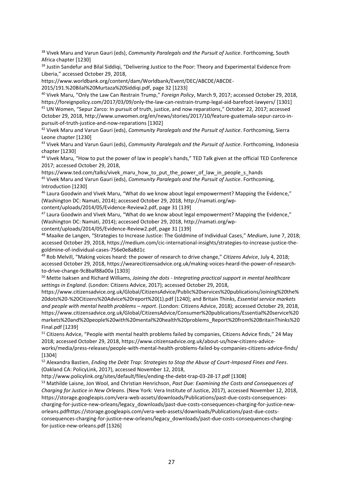<sup>38</sup> Vivek Maru and Varun Gauri (eds), *Community Paralegals and the Pursuit of Justice*. Forthcoming, South Africa chapter [1230]

<sup>39</sup> Justin Sandefur and Bilal Siddigi, "Delivering Justice to the Poor: Theory and Experimental Evidence from Liberia," accessed October 29, 2018,

https://www.worldbank.org/content/dam/Worldbank/Event/DEC/ABCDE/ABCDE-

2015/191.%20Bilal%20Murtaza%20Siddiqi.pdf, page 32 [1233]

<sup>40</sup> Vivek Maru, "Only the Law Can Restrain Trump," *Foreign Policy*, March 9, 2017; accessed October 29, 2018, https://foreignpolicy.com/2017/03/09/only-the-law-can-restrain-trump-legal-aid-barefoot-lawyers/ [1301] <sup>41</sup> UN Women, "Sepur Zarco: In pursuit of truth, justice, and now reparations," October 22, 2017; accessed October 29, 2018, http://www.unwomen.org/en/news/stories/2017/10/feature-guatemala-sepur-zarco-inpursuit-of-truth-justice-and-now-reparations [1302]

<sup>42</sup> Vivek Maru and Varun Gauri (eds), *Community Paralegals and the Pursuit of Justice*. Forthcoming, Sierra Leone chapter [1230]

<sup>43</sup> Vivek Maru and Varun Gauri (eds), *Community Paralegals and the Pursuit of Justice*. Forthcoming, Indonesia chapter [1230]

<sup>44</sup> Vivek Maru, "How to put the power of law in people's hands," TED Talk given at the official TED Conference 2017; accessed October 29, 2018,

https://www.ted.com/talks/vivek\_maru\_how\_to\_put\_the\_power\_of\_law\_in\_people\_s\_hands <sup>45</sup> Vivek Maru and Varun Gauri (eds), *Community Paralegals and the Pursuit of Justice*. Forthcoming, Introduction [1230]

<sup>46</sup> Laura Goodwin and Vivek Maru, "What do we know about legal empowerment? Mapping the Evidence," (Washington DC: Namati, 2014); accessed October 29, 2018, http://namati.org/wp-

content/uploads/2014/05/Evidence-Review2.pdf, page 31 [139]

<sup>47</sup> Laura Goodwin and Vivek Maru, "What do we know about legal empowerment? Mapping the Evidence," (Washington DC: Namati, 2014); accessed October 29, 2018, http://namati.org/wpcontent/uploads/2014/05/Evidence-Review2.pdf, page 31 [139]

<sup>48</sup> Maaike de Langen, "Strategies to Increase Justice: The Goldmine of Individual Cases," *Medium*, June 7, 2018; accessed October 29, 2018, https://medium.com/cic-international-insights/strategies-to-increase-justice-thegoldmine-of-individual-cases-756e0e8a8d1c

<sup>49</sup> Rob Melvill, "Making voices heard: the power of research to drive change," *Citizens Advice*, July 4, 2018; accessed October 29, 2018, https://wearecitizensadvice.org.uk/making-voices-heard-the-power-of-researchto-drive-change-9c8baf88a00a [1303]

<sup>50</sup> Mette Isaksen and Richard Williams, *Joining the dots - Integrating practical support in mental healthcare settings in England*. (London: Citizens Advice, 2017); accessed October 29, 2018,

https://www.citizensadvice.org.uk/Global/CitizensAdvice/Public%20services%20publications/Joining%20the% 20dots%20-%20Citizens%20Advice%20report%20(1).pdf [1240]; and Britain Thinks, *Essential service markets and people with mental health problems – report*. (London: Citizens Advice, 2018); accessed October 29, 2018, https://www.citizensadvice.org.uk/Global/CitizensAdvice/Consumer%20publications/Essential%20service%20 markets%20and%20people%20with%20mental%20health%20problems\_Report%20from%20BritainThinks%20 Final.pdf [1239]

<sup>51</sup> Citizens Advice, "People with mental health problems failed by companies, Citizens Advice finds," 24 May 2018; accessed October 29, 2018, https://www.citizensadvice.org.uk/about-us/how-citizens-advice-

works/media/press-releases/people-with-mental-health-problems-failed-by-companies-citizens-advice-finds/ [1304]

<sup>52</sup> Alexandra Bastien, *Ending the Debt Trap: Strategies to Stop the Abuse of Court-Imposed Fines and Fees*. (Oakland CA: PolicyLink, 2017), accessed November 12, 2018,

http://www.policylink.org/sites/default/files/ending-the-debt-trap-03-28-17.pdf [1308]

<sup>53</sup> Mathilde Laisne, Jon Wool, and Christian Henrichson, *Past Due: Examining the Costs and Consequences of Charging for Justice in New Orleans*. (New York: Vera Institute of Justice, 2017), accessed November 12, 2018, https://storage.googleapis.com/vera-web-assets/downloads/Publications/past-due-costs-consequencescharging-for-justice-new-orleans/legacy\_downloads/past-due-costs-consequences-charging-for-justice-neworleans.pdfhttps://storage.googleapis.com/vera-web-assets/downloads/Publications/past-due-costsconsequences-charging-for-justice-new-orleans/legacy\_downloads/past-due-costs-consequences-chargingfor-justice-new-orleans.pdf [1326]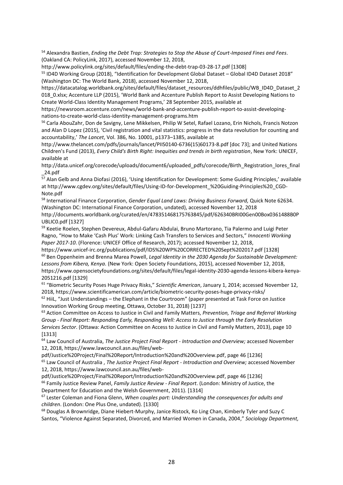<sup>54</sup> Alexandra Bastien, *Ending the Debt Trap: Strategies to Stop the Abuse of Court-Imposed Fines and Fees*. (Oakland CA: PolicyLink, 2017), accessed November 12, 2018,

http://www.policylink.org/sites/default/files/ending-the-debt-trap-03-28-17.pdf [1308]

<sup>55</sup> ID4D Working Group (2018), "Identification for Development Global Dataset – Global ID4D Dataset 2018" (Washington DC: The World Bank, 2018), accessed November 12, 2018,

https://datacatalog.worldbank.org/sites/default/files/dataset\_resources/ddhfiles/public/WB\_ID4D\_Dataset\_2 018 O.xlsx; Accenture LLP (2015), 'World Bank and Accenture Publish Report to Assist Developing Nations to Create World-Class Identity Management Programs,' 28 September 2015, available at

https://newsroom.accenture.com/news/world-bank-and-accenture-publish-report-to-assist-developingnations-to-create-world-class-identity-management-programs.htm

<sup>56</sup> Carla AbouZahr, Don de Savigny, Lene Mikkelsen, Philip W Setel, Rafael Lozano, Erin Nichols, Francis Notzon and Alan D Lopez (2015), 'Civil registration and vital statistics: progress in the data revolution for counting and accountability,' *The Lancet*, Vol. 386, No. 10001, p1373–1385, available at

http://www.thelancet.com/pdfs/journals/lancet/PIIS0140-6736(15)60173-8.pdf [doc 73]; and United Nations Children's Fund (2013), *Every Child's Birth Right: Inequities and trends in birth registration*, New York: UNICEF, available at

http://data.unicef.org/corecode/uploads/document6/uploaded\_pdfs/corecode/Birth\_Registration\_lores\_final \_24.pdf

<sup>57</sup> Alan Gelb and Anna Diofasi (2016), 'Using Identification for Development: Some Guiding Principles,' available at http://www.cgdev.org/sites/default/files/Using-ID-for-Development\_%20Guiding-Principles%20\_CGD-Note.pdf

<sup>58</sup> International Finance Corporation, *Gender Equal Land Laws: Driving Business Forward,* Quick Note 62634. (Washington DC: International Finance Corporation, undated), accessed November 12, 2018 http://documents.worldbank.org/curated/en/478351468175763845/pdf/626340BRI00Gen00Box0361488B0P UBLIC0.pdf [1327]

59 Keetie Roelen, Stephen Devereux, Abdul-Gafaru Abdulai, Bruno Martorano, Tia Palermo and Luigi Peter Ragno, "How to Make 'Cash Plus' Work: Linking Cash Transfers to Services and Sectors," *Innocenti Working Paper 2017-10*. (Florence: UNICEF Office of Research, 2017); accessed November 12, 2018,

https://www.unicef-irc.org/publications/pdf/IDS%20WP%20CORRECTED%20Sept%202017.pdf [1328] <sup>60</sup> Ben Oppenheim and Brenna Marea Powell, *Legal Identity in the 2030 Agenda for Sustainable Development: Lessons from Kibera, Kenya.* (New York: Open Society Foundations, 2015), accessed November 12, 2018, https://www.opensocietyfoundations.org/sites/default/files/legal-identity-2030-agenda-lessons-kibera-kenya-2051216.pdf [1329]

<sup>61</sup> "Biometric Security Poses Huge Privacy Risks," *Scientific American*, January 1, 2014; accessed November 12, 2018, https://www.scientificamerican.com/article/biometric-security-poses-huge-privacy-risks/

 $62$  Hiil, "Just Understandings – the Elephant in the Courtroom" (paper presented at Task Force on Justice Innovation Working Group meeting, Ottawa, October 31, 2018) [1237]

<sup>63</sup> Action Committee on Access to Justice in Civil and Family Matters, *Prevention, Triage and Referral Working Group - Final Report: Responding Early, Responding Well: Access to Justice through the Early Resolution Services Sector*. (Ottawa: Action Committee on Access to Justice in Civil and Family Matters, 2013), page 10 [1313]

<sup>64</sup> Law Council of Australia, *The Justice Project Final Report - Introduction and Overview;* accessed November 12, 2018, https://www.lawcouncil.asn.au/files/web-

pdf/Justice%20Project/Final%20Report/Introduction%20and%20Overview.pdf, page 46 [1236]

<sup>65</sup> Law Council of Australia , *The Justice Project Final Report - Introduction and Overview;* accessed November 12, 2018, https://www.lawcouncil.asn.au/files/web-

pdf/Justice%20Project/Final%20Report/Introduction%20and%20Overview.pdf, page 46 [1236] <sup>66</sup> Family Justice Review Panel, *Family Justice Review - Final Report*. (London: Ministry of Justice, the Department for Education and the Welsh Government, 2011). [1314]

<sup>67</sup> Lester Coleman and Fiona Glenn, *When couples part: Understanding the consequences for adults and children*. (London: One Plus One, undated). [1330]

<sup>68</sup> Douglas A Brownridge, Diane Hiebert-Murphy, Janice Ristock, Ko Ling Chan, Kimberly Tyler and Suzy C Santos, "Violence Against Separated, Divorced, and Married Women in Canada, 2004," *Sociology Department,*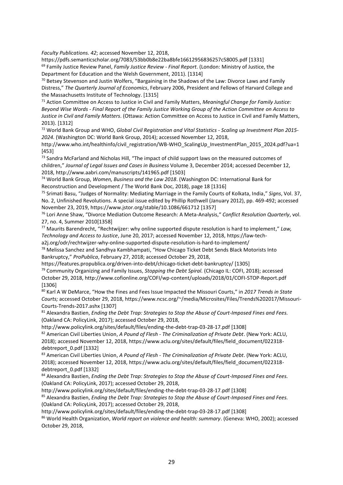*Faculty Publications. 42*; accessed November 12, 2018,

https://pdfs.semanticscholar.org/7083/53bb0b8e22ba8bfe16612956836257c58005.pdf [1331] <sup>69</sup> Family Justice Review Panel, *Family Justice Review - Final Report*. (London: Ministry of Justice, the Department for Education and the Welsh Government, 2011). [1314]

<sup>70</sup> Betsey Stevenson and Justin Wolfers, "Bargaining in the Shadows of the Law: Divorce Laws and Family Distress," *The Quarterly Journal of Economics*, February 2006, President and Fellows of Harvard College and the Massachusetts Institute of Technology. [1315]

<sup>71</sup> Action Committee on Access to Justice in Civil and Family Matters, *Meaningful Change for Family Justice: Beyond Wise Words - Final Report of the Family Justice Working Group of the Action Committee on Access to Justice in Civil and Family Matters*. (Ottawa: Action Committee on Access to Justice in Civil and Family Matters, 2013). [1312]

<sup>72</sup> World Bank Group and WHO, *Global Civil Registration and Vital Statistics - Scaling up Investment Plan 2015- 2024*. (Washington DC: World Bank Group, 2014); accessed November 12, 2018,

http://www.who.int/healthinfo/civil\_registration/WB-WHO\_ScalingUp\_InvestmentPlan\_2015\_2024.pdf?ua=1 [453]

73 Sandra McFarland and Nicholas Hill, "The impact of child support laws on the measured outcomes of children," *Journal of Legal Issues and Cases in Business* Volume 3, December 2014; accessed December 12, 2018, http://www.aabri.com/manuscripts/141965.pdf [1503]

<sup>74</sup> World Bank Group, *Women, Business and the Law 2018*. (Washington DC: International Bank for Reconstruction and Development / The World Bank Doc, 2018), page 18 [1316]

<sup>75</sup> Srimati Basu, "Judges of Normality: Mediating Marriage in the Family Courts of Kolkata, India," *Signs*, Vol. 37, No. 2, Unfinished Revolutions. A special issue edited by Phillip Rothwell (January 2012), pp. 469-492; accessed November 23, 2019, https://www.jstor.org/stable/10.1086/661712 [1357]

<sup>76</sup> Lori Anne Shaw, "Divorce Mediation Outcome Research: A Meta-Analysis," *Conflict Resolution Quarterly*, vol. 27, no. 4, Summer 2010[1358]

<sup>77</sup> Maurits Barendrecht, "Rechtwijzer: why online supported dispute resolution is hard to implement," *Law, Technology and Access to Justice*, June 20, 2017; accessed November 12, 2018, https://law-tech-

a2j.org/odr/rechtwijzer-why-online-supported-dispute-resolution-is-hard-to-implement/

<sup>78</sup> Melissa Sanchez and Sandhya Kambhampati, "How Chicago Ticket Debt Sends Black Motorists Into Bankruptcy," *ProPublica*, February 27, 2018; accessed October 29, 2018,

https://features.propublica.org/driven-into-debt/chicago-ticket-debt-bankruptcy/ [1305]

<sup>79</sup> Community Organizing and Family Issues, *Stopping the Debt Spiral.* (Chicago IL: COFI, 2018); accessed October 29, 2018, http://www.cofionline.org/COFI/wp-content/uploads/2018/01/COFI-STOP-Report.pdf [1306]

<sup>80</sup> Karl A W DeMarce, "How the Fines and Fees Issue Impacted the Missouri Courts," in *2017 Trends in State Courts;* accessed October 29, 2018, https://www.ncsc.org/~/media/Microsites/Files/Trends%202017/Missouri-Courts-Trends-2017.ashx [1307]

<sup>81</sup> Alexandra Bastien, *Ending the Debt Trap: Strategies to Stop the Abuse of Court-Imposed Fines and Fees.*  (Oakland CA: PolicyLink, 2017); accessed October 29, 2018,

http://www.policylink.org/sites/default/files/ending-the-debt-trap-03-28-17.pdf [1308]

<sup>82</sup> American Civil Liberties Union, *A Pound of Flesh - The Criminalization of Private Debt*. (New York: ACLU, 2018); accessed November 12, 2018, https://www.aclu.org/sites/default/files/field\_document/022318 debtreport\_0.pdf [1332]

<sup>83</sup> American Civil Liberties Union, *A Pound of Flesh - The Criminalization of Private Debt*. (New York: ACLU, 2018); accessed November 12, 2018, https://www.aclu.org/sites/default/files/field\_document/022318 debtreport\_0.pdf [1332]

<sup>84</sup> Alexandra Bastien, *Ending the Debt Trap: Strategies to Stop the Abuse of Court-Imposed Fines and Fees.*  (Oakland CA: PolicyLink, 2017); accessed October 29, 2018,

http://www.policylink.org/sites/default/files/ending-the-debt-trap-03-28-17.pdf [1308]

<sup>85</sup> Alexandra Bastien, *Ending the Debt Trap: Strategies to Stop the Abuse of Court-Imposed Fines and Fees.*  (Oakland CA: PolicyLink, 2017); accessed October 29, 2018,

http://www.policylink.org/sites/default/files/ending-the-debt-trap-03-28-17.pdf [1308]

<sup>86</sup> World Health Organization, *World report on violence and health: summary*. (Geneva: WHO, 2002); accessed October 29, 2018,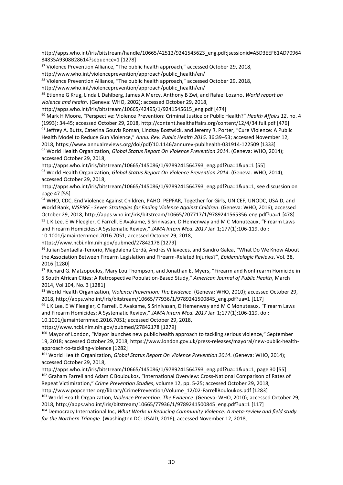http://apps.who.int/iris/bitstream/handle/10665/42512/9241545623\_eng.pdf;jsessionid=A5D3EEF61AD70964 84835A9308B28614?sequence=1 [1278]

 $87$  Violence Prevention Alliance, "The public health approach," accessed October 29, 2018, http://www.who.int/violenceprevention/approach/public\_health/en/

88 Violence Prevention Alliance, "The public health approach," accessed October 29, 2018,

http://www.who.int/violenceprevention/approach/public\_health/en/

<sup>89</sup> Etienne G Krug, Linda L Dahlberg, James A Mercy, Anthony B Zwi, and Rafael Lozano, *World report on violence and health*. (Geneva: WHO, 2002); accessed October 29, 2018,

http://apps.who.int/iris/bitstream/10665/42495/1/9241545615\_eng.pdf [474]

<sup>90</sup> Mark H Moore, "Perspective: Violence Prevention: Criminal Justice or Public Health?" *Health Affairs 12*, no. 4 (1993): 34-45; accessed October 29, 2018, http://content.healthaffairs.org/content/12/4/34.full.pdf [476] 91 Jeffrey A. Butts, Caterina Gouvis Roman, Lindsay Bostwick, and Jeremy R. Porter, "Cure Violence: A Public Health Model to Reduce Gun Violence," *Annu. Rev. Public Health 2015*. 36:39–53; accessed November 12, 2018, https://www.annualreviews.org/doi/pdf/10.1146/annurev-publhealth-031914-122509 [1333]

<sup>92</sup> World Health Organization, *Global Status Report On Violence Prevention 2014*. (Geneva: WHO, 2014); accessed October 29, 2018,

http://apps.who.int/iris/bitstream/10665/145086/1/9789241564793\_eng.pdf?ua=1&ua=1 [55] <sup>93</sup> World Health Organization, *Global Status Report On Violence Prevention 2014*. (Geneva: WHO, 2014); accessed October 29, 2018,

http://apps.who.int/iris/bitstream/10665/145086/1/9789241564793\_eng.pdf?ua=1&ua=1, see discussion on page 47 [55]

94 WHO, CDC, End Violence Against Children, PAHO, PEPFAR, Together for Girls, UNICEF, UNODC, USAID, and World Bank, *INSPIRE - Seven Strategies for Ending Violence Against Children*. (Geneva: WHO, 2016); accessed October 29, 2018, http://apps.who.int/iris/bitstream/10665/207717/1/9789241565356-eng.pdf?ua=1 [478] 95 L K Lee, E W Fleegler, C Farrell, E Avakame, S Srinivasan, D Hemenway and M C Monuteaux, "Firearm Laws and Firearm Homicides: A Systematic Review," *JAMA Intern Med. 2017* Jan 1;177(1):106-119. doi: 10.1001/jamainternmed.2016.7051; accessed October 29, 2018,

https://www.ncbi.nlm.nih.gov/pubmed/27842178 [1279]

<sup>96</sup> Julian Santaella-Tenorio, Magdalena Cerdá, Andrés Villaveces, and Sandro Galea, "What Do We Know About the Association Between Firearm Legislation and Firearm-Related Injuries?", *Epidemiologic Reviews*, Vol. 38, 2016 [1280]

97 Richard G. Matzopoulos, Mary Lou Thompson, and Jonathan E. Myers, "Firearm and Nonfirearm Homicide in 5 South African Cities: A Retrospective Population-Based Study," *American Journal of Public Health*, March 2014, Vol 104, No. 3 [1281]

<sup>98</sup> World Health Organization, *Violence Prevention: The Evidence*. (Geneva: WHO, 2010); accessed October 29, 2018, http://apps.who.int/iris/bitstream/10665/77936/1/9789241500845\_eng.pdf?ua=1 [117]

99 L K Lee, E W Fleegler, C Farrell, E Avakame, S Srinivasan, D Hemenway and M C Monuteaux, "Firearm Laws and Firearm Homicides: A Systematic Review," *JAMA Intern Med. 2017* Jan 1;177(1):106-119. doi: 10.1001/jamainternmed.2016.7051; accessed October 29, 2018,

https://www.ncbi.nlm.nih.gov/pubmed/27842178 [1279]

<sup>100</sup> Mayor of London, "Mayor launches new public health approach to tackling serious violence," September 19, 2018; accessed October 29, 2018, https://www.london.gov.uk/press-releases/mayoral/new-public-healthapproach-to-tackling-violence [1282]

<sup>101</sup> World Health Organization, *Global Status Report On Violence Prevention 2014*. (Geneva: WHO, 2014); accessed October 29, 2018,

http://apps.who.int/iris/bitstream/10665/145086/1/9789241564793\_eng.pdf?ua=1&ua=1, page 30 [55] 102 Graham Farrell and Adam C Bouloukos, "International Overview: Cross-National Comparison of Rates of Repeat Victimization," *Crime Prevention Studies*, volume 12, pp. 5-25; accessed October 29, 2018, http://www.popcenter.org/library/CrimePrevention/Volume\_12/02-FarrellBouloukos.pdf [1283]

<sup>103</sup> World Health Organization, *Violence Prevention: The Evidence*. (Geneva: WHO, 2010); accessed October 29, 2018, http://apps.who.int/iris/bitstream/10665/77936/1/9789241500845\_eng.pdf?ua=1 [117]

<sup>104</sup> Democracy International Inc, *What Works in Reducing Community Violence: A meta-review and field study for the Northern Triangle*. (Washington DC: USAID, 2016); accessed November 12, 2018,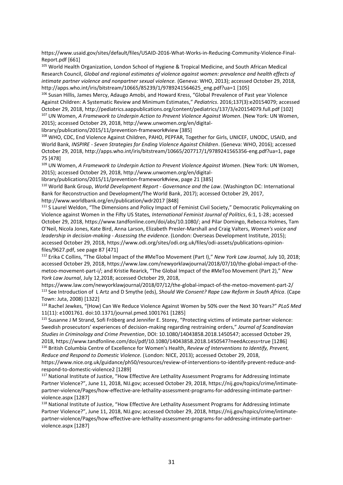https://www.usaid.gov/sites/default/files/USAID-2016-What-Works-in-Reducing-Community-Violence-Final-Report.pdf [661]

<sup>105</sup> World Health Organization, London School of Hygiene & Tropical Medicine, and South African Medical Research Council, *Global and regional estimates of violence against women: prevalence and health effects of intimate partner violence and nonpartner sexual violence.* (Geneva: WHO, 2013); accessed October 29, 2018, http://apps.who.int/iris/bitstream/10665/85239/1/9789241564625\_eng.pdf?ua=1 [105]

<sup>106</sup> Susan Hillis, James Mercy, Adaugo Amobi, and Howard Kress, "Global Prevalence of Past year Violence Against Children: A Systematic Review and Minimum Estimates," *Pediatrics*. 2016;137(3):e20154079; accessed October 29, 2018, http://pediatrics.aappublications.org/content/pediatrics/137/3/e20154079.full.pdf [102] <sup>107</sup> UN Women, *A Framework to Underpin Action to Prevent Violence Against Women*. (New York: UN Women,

2015); accessed October 29, 2018, http://www.unwomen.org/en/digital-

library/publications/2015/11/prevention-framework#view [385]

<sup>108</sup> WHO, CDC, End Violence Against Children, PAHO, PEPFAR, Together for Girls, UNICEF, UNODC, USAID, and World Bank, *INSPIRE - Seven Strategies for Ending Violence Against Children*. (Geneva: WHO, 2016); accessed October 29, 2018, http://apps.who.int/iris/bitstream/10665/207717/1/9789241565356-eng.pdf?ua=1, page 75 [478]

<sup>109</sup> UN Women, *A Framework to Underpin Action to Prevent Violence Against Women*. (New York: UN Women, 2015); accessed October 29, 2018, http://www.unwomen.org/en/digital-

library/publications/2015/11/prevention-framework#view, page 21 [385]

<sup>110</sup> World Bank Group, *World Development Report - Governance and the Law*. (Washington DC: International Bank for Reconstruction and Development/The World Bank, 2017); accessed October 29, 2017, http://www.worldbank.org/en/publication/wdr2017 [848]

<sup>111</sup> S Laurel Weldon, "The Dimensions and Policy Impact of Feminist Civil Society," Democratic Policymaking on Violence against Women in the Fifty US States*, International Feminist Journal of Politics*, 6:1, 1-28; accessed October 29, 2018, https://www.tandfonline.com/doi/abs/10.1080/; and Pilar Domingo, Rebecca Holmes, Tam O'Neil, Nicola Jones, Kate Bird, Anna Larson, Elizabeth Presler-Marshall and Craig Valters, *Women's voice and leadership in decision-making - Assessing the evidence*. (London: Overseas Development Institute, 2015); accessed October 29, 2018, https://www.odi.org/sites/odi.org.uk/files/odi-assets/publications-opinionfiles/9627.pdf, see page 87 [471]

<sup>112</sup> Erika C Collins, "The Global Impact of the #MeToo Movement (Part I)," *New York Law Journal,* July 10, 2018; accessed October 29, 2018, https://www.law.com/newyorklawjournal/2018/07/10/the-global-impact-of-themetoo-movement-part-i/; and Kristie Rearick, "The Global Impact of the #MeToo Movement (Part 2)," *New York Law Journal*, July 12,2018; accessed October 29, 2018,

https://www.law.com/newyorklawjournal/2018/07/12/the-global-impact-of-the-metoo-movement-part-2/ <sup>113</sup> See Introduction of L Artz and D Smythe (eds), *Should We Consent? Rape Law Reform in South Africa*. (Cape Town: Juta, 2008) [1322]

<sup>114</sup> Rachel Jewkes, "(How) Can We Reduce Violence Against Women by 50% over the Next 30 Years?" *PLoS Med* 11(11): e1001761. doi:10.1371/journal.pmed.1001761 [1285]

<sup>115</sup> Susanne J M Strand, Sofi Fröberg and Jennifer E. Storey, "Protecting victims of intimate partner violence: Swedish prosecutors' experiences of decision-making regarding restraining orders," *Journal of Scandinavian Studies in Criminology and Crime Prevention*, DOI: 10.1080/14043858.2018.1450547; accessed October 29, 2018, https://www.tandfonline.com/doi/pdf/10.1080/14043858.2018.1450547?needAccess=true [1286] <sup>116</sup> British Columbia Centre of Excellence for Women's Health, *Review of Interventions to Identify, Prevent, Reduce and Respond to Domestic Violence.* (London: NICE, 2013); accessed October 29, 2018,

https://www.nice.org.uk/guidance/ph50/resources/review-of-interventions-to-identify-prevent-reduce-andrespond-to-domestic-violence2 [1289]

<sup>117</sup> National Institute of Justice, "How Effective Are Lethality Assessment Programs for Addressing Intimate Partner Violence?", June 11, 2018, NIJ.gov; accessed October 29, 2018, https://nij.gov/topics/crime/intimatepartner-violence/Pages/how-effective-are-lethality-assessment-programs-for-addressing-intimate-partnerviolence.aspx [1287]

118 National Institute of Justice, "How Effective Are Lethality Assessment Programs for Addressing Intimate Partner Violence?", June 11, 2018, NIJ.gov; accessed October 29, 2018, https://nij.gov/topics/crime/intimatepartner-violence/Pages/how-effective-are-lethality-assessment-programs-for-addressing-intimate-partnerviolence.aspx [1287]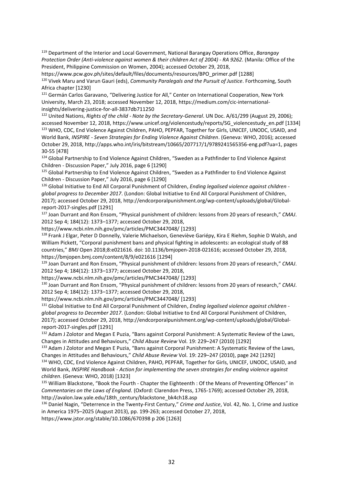<sup>119</sup> Department of the Interior and Local Government, National Barangay Operations Office, *Barangay Protection Order (Anti-violence against women & their children Act of 2004) - RA 9262*. (Manila: Office of the President, Philippine Commission on Women, 2004); accessed October 29, 2018,

https://www.pcw.gov.ph/sites/default/files/documents/resources/BPO\_primer.pdf [1288] <sup>120</sup> Vivek Maru and Varun Gauri (eds), *Community Paralegals and the Pursuit of Justice*. Forthcoming, South Africa chapter [1230]

<sup>121</sup> Germán Carlos Garavano, "Delivering Justice for All," Center on International Cooperation, New York University, March 23, 2018; accessed November 12, 2018, https://medium.com/cic-internationalinsights/delivering-justice-for-all-3837db711250

<sup>122</sup> United Nations, *Rights of the child - Note by the Secretary-General*. UN Doc. A/61/299 (August 29, 2006); accessed November 12, 2018, https://www.unicef.org/violencestudy/reports/SG\_violencestudy\_en.pdf [1334] <sup>123</sup> WHO, CDC, End Violence Against Children, PAHO, PEPFAR, Together for Girls, UNICEF, UNODC, USAID, and World Bank, *INSPIRE - Seven Strategies for Ending Violence Against Children*. (Geneva: WHO, 2016); accessed October 29, 2018, http://apps.who.int/iris/bitstream/10665/207717/1/9789241565356-eng.pdf?ua=1, pages 30-55 [478]

124 Global Partnership to End Violence Against Children, "Sweden as a Pathfinder to End Violence Against Children - Discussion Paper," July 2016, page 6 [1290]

125 Global Partnership to End Violence Against Children, "Sweden as a Pathfinder to End Violence Against Children - Discussion Paper," July 2016, page 6 [1290]

<sup>126</sup> Global Initiative to End All Corporal Punishment of Children, *Ending legalised violence against children global progress to December 2017*. (London: Global Initiative to End All Corporal Punishment of Children, 2017); accessed October 29, 2018, http://endcorporalpunishment.org/wp-content/uploads/global/Globalreport-2017-singles.pdf [1291]

<sup>127</sup> Joan Durrant and Ron Ensom, "Physical punishment of children: lessons from 20 years of research," *CMAJ*. 2012 Sep 4; 184(12): 1373–1377; accessed October 29, 2018,

https://www.ncbi.nlm.nih.gov/pmc/articles/PMC3447048/ [1293]

<sup>128</sup> Frank J Elgar, Peter D Donnelly, Valerie Michaelson, Geneviève Gariépy, Kira E Riehm, Sophie D Walsh, and William Pickett, "Corporal punishment bans and physical fighting in adolescents: an ecological study of 88 countries," *BMJ* Open 2018;8:e021616. doi: 10.1136/bmjopen-2018-021616; accessed October 29, 2018, https://bmjopen.bmj.com/content/8/9/e021616 [1294]

<sup>129</sup> Joan Durrant and Ron Ensom, "Physical punishment of children: lessons from 20 years of research," *CMAJ*. 2012 Sep 4; 184(12): 1373–1377; accessed October 29, 2018,

https://www.ncbi.nlm.nih.gov/pmc/articles/PMC3447048/ [1293]

<sup>130</sup> Joan Durrant and Ron Ensom, "Physical punishment of children: lessons from 20 years of research," *CMAJ*. 2012 Sep 4; 184(12): 1373–1377; accessed October 29, 2018,

https://www.ncbi.nlm.nih.gov/pmc/articles/PMC3447048/ [1293]

<sup>131</sup> Global Initiative to End All Corporal Punishment of Children, *Ending legalised violence against children global progress to December 2017*. (London: Global Initiative to End All Corporal Punishment of Children, 2017); accessed October 29, 2018, http://endcorporalpunishment.org/wp-content/uploads/global/Globalreport-2017-singles.pdf [1291]

<sup>132</sup> Adam J Zolotor and Megan E Puzia, "Bans against Corporal Punishment: A Systematic Review of the Laws, Changes in Attitudes and Behaviours," *Child Abuse Review* Vol. 19: 229–247 (2010) [1292]

<sup>133</sup> Adam J Zolotor and Megan E Puzia, "Bans against Corporal Punishment: A Systematic Review of the Laws, Changes in Attitudes and Behaviours," *Child Abuse Review* Vol. 19: 229–247 (2010), page 242 [1292]

134 WHO, CDC, End Violence Against Children, PAHO, PEPFAR, Together for Girls, UNICEF, UNODC, USAID, and World Bank, *INSPIRE Handbook - Action for implementing the seven strategies for ending violence against children*. (Geneva: WHO, 2018) [1323]

<sup>135</sup> William Blackstone, "Book the Fourth - Chapter the Eighteenth : Of the Means of Preventing Offences" in *Commentaries on the Laws of England.* (Oxford: Clarendon Press, 1765-1769); accessed October 29, 2018, http://avalon.law.yale.edu/18th\_century/blackstone\_bk4ch18.asp

<sup>136</sup> Daniel Nagin, "Deterrence in the Twenty-First Century," *Crime and Justice*, Vol. 42, No. 1, Crime and Justice in America 1975–2025 (August 2013), pp. 199-263; accessed October 27, 2018,

https://www.jstor.org/stable/10.1086/670398 p 206 [1263]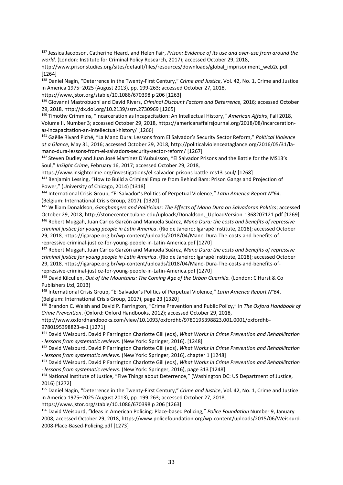<sup>137</sup> Jessica Jacobson, Catherine Heard, and Helen Fair, *Prison: Evidence of its use and over-use from around the world*. (London: Institute for Criminal Policy Research, 2017); accessed October 29, 2018,

http://www.prisonstudies.org/sites/default/files/resources/downloads/global\_imprisonment\_web2c.pdf [1264]

<sup>138</sup> Daniel Nagin, "Deterrence in the Twenty-First Century," *Crime and Justice*, Vol. 42, No. 1, Crime and Justice in America 1975–2025 (August 2013), pp. 199-263; accessed October 27, 2018,

https://www.jstor.org/stable/10.1086/670398 p 206 [1263]

<sup>139</sup> Giovanni Mastrobuoni and David Rivers, *Criminal Discount Factors and Deterrence,* 2016*;* accessed October 29, 2018, http://dx.doi.org/10.2139/ssrn.2730969 [1265]

<sup>140</sup> Timothy Crimmins, "Incarceration as Incapacitation: An Intellectual History," *American Affairs*, Fall 2018, Volume II, Number 3; accessed October 29, 2018, https://americanaffairsjournal.org/2018/08/incarcerationas-incapacitation-an-intellectual-history/ [1266]

<sup>141</sup> Gaëlle Rivard Piché, "La Mano Dura: Lessons from El Salvador's Security Sector Reform," *Political Violence at a Glance*, May 31, 2016; accessed October 29, 2018, http://politicalviolenceataglance.org/2016/05/31/lamano-dura-lessons-from-el-salvadors-security-sector-reform/ [1267]

<sup>142</sup> Steven Dudley and Juan José Martínez D'Aubuisson, "El Salvador Prisons and the Battle for the MS13's Soul," *InSight Crime*, February 16, 2017; accessed October 29, 2018,

https://www.insightcrime.org/investigations/el-salvador-prisons-battle-ms13-soul/ [1268] <sup>143</sup> Benjamin Lessing, "How to Build a Criminal Empire from Behind Bars: Prison Gangs and Projection of Power," (University of Chicago, 2014) [1318]

<sup>144</sup> International Crisis Group, "El Salvador's Politics of Perpetual Violence," *Latin America Report N°64*. (Belgium: International Crisis Group, 2017). [1320]

<sup>145</sup> William Donaldson, *Gangbangers and Politicians: The Effects of Mano Dura on Salvadoran Politics*; accessed October 29, 2018, http://stonecenter.tulane.edu/uploads/Donaldson,\_UploadVersion-1368207121.pdf [1269] <sup>146</sup> Robert Muggah, Juan Carlos Garzón and Manuela Suárez, *Mano Dura: the costs and benefits of repressive criminal justice for young people in Latin America*. (Rio de Janeiro: Igarapé Institute, 2018); accessed October 29, 2018, https://igarape.org.br/wp-content/uploads/2018/04/Mano-Dura-The-costs-and-benefits-ofrepressive-criminal-justice-for-young-people-in-Latin-America.pdf [1270]

<sup>147</sup> Robert Muggah, Juan Carlos Garzón and Manuela Suárez, *Mano Dura: the costs and benefits of repressive criminal justice for young people in Latin America*. (Rio de Janeiro: Igarapé Institute, 2018); accessed October 29, 2018, https://igarape.org.br/wp-content/uploads/2018/04/Mano-Dura-The-costs-and-benefits-ofrepressive-criminal-justice-for-young-people-in-Latin-America.pdf [1270]

<sup>148</sup> David Kilcullen, *Out of the Mountains: The Coming Age of the Urban Guerrilla.* (London: C Hurst & Co Publishers Ltd, 2013)

<sup>149</sup> International Crisis Group, "El Salvador's Politics of Perpetual Violence," *Latin America Report N°64*. (Belgium: International Crisis Group, 2017), page 23 [1320]

<sup>150</sup> Brandon C. Welsh and David P. Farrington, "Crime Prevention and Public Policy," in *The Oxford Handbook of Crime Prevention*. (Oxford: Oxford Handbooks, 2012); accessed October 29, 2018,

http://www.oxfordhandbooks.com/view/10.1093/oxfordhb/9780195398823.001.0001/oxfordhb-9780195398823-e-1 [1271]

<sup>151</sup> David Weisburd, David P Farrington Charlotte Gill (eds), *What Works in Crime Prevention and Rehabilitation - lessons from systematic reviews*. (New York: Springer, 2016). [1248]

<sup>152</sup> David Weisburd, David P Farrington Charlotte Gill (eds), *What Works in Crime Prevention and Rehabilitation - lessons from systematic reviews*. (New York: Springer, 2016), chapter 1 [1248]

<sup>153</sup> David Weisburd, David P Farrington Charlotte Gill (eds), *What Works in Crime Prevention and Rehabilitation - lessons from systematic reviews*. (New York: Springer, 2016), page 313 [1248]

<sup>154</sup> National Institute of Justice, "Five Things about Deterrence," (Washington DC: US Department of Justice, 2016) [1272]

<sup>155</sup> Daniel Nagin, "Deterrence in the Twenty-First Century," *Crime and Justice*, Vol. 42, No. 1, Crime and Justice in America 1975–2025 (August 2013), pp. 199-263; accessed October 27, 2018,

https://www.jstor.org/stable/10.1086/670398 p 206 [1263]

<sup>156</sup> David Weisburd, "Ideas in American Policing: Place-based Policing," *Police Foundation* Number 9, January 2008; accessed October 29, 2018, https://www.policefoundation.org/wp-content/uploads/2015/06/Weisburd-2008-Place-Based-Policing.pdf [1273]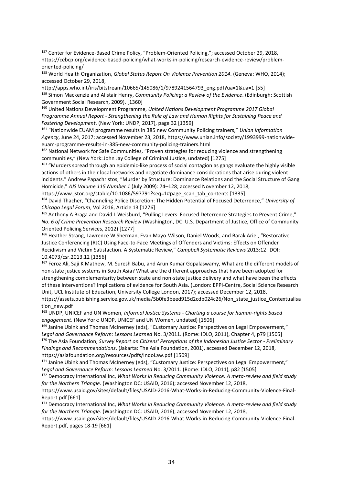<sup>157</sup> Center for Evidence-Based Crime Policy, "Problem-Oriented Policing,"; accessed October 29, 2018, https://cebcp.org/evidence-based-policing/what-works-in-policing/research-evidence-review/problemoriented-policing/

<sup>158</sup> World Health Organization, *Global Status Report On Violence Prevention 2014*. (Geneva: WHO, 2014); accessed October 29, 2018,

http://apps.who.int/iris/bitstream/10665/145086/1/9789241564793\_eng.pdf?ua=1&ua=1 [55] <sup>159</sup> Simon Mackenzie and Alistair Henry, *Community Policing: a Review of the Evidence*. (Edinburgh: Scottish Government Social Research, 2009). [1360]

<sup>160</sup> United Nations Development Programme, *United Nations Development Programme 2017 Global Programme Annual Report - Strengthening the Rule of Law and Human Rights for Sustaining Peace and Fostering Development*. (New York: UNDP, 2017), page 32 [1359]

<sup>161</sup> "Nationwide EUAM programme results in 385 new Community Policing trainers," *Unian Information Agency*, June 24, 2017; accessed November 23, 2018, https://www.unian.info/society/1993999-nationwideeuam-programme-results-in-385-new-community-policing-trainers.html

<sup>162</sup> National Network for Safe Communities, "Proven strategies for reducing violence and strengthening communities," (New York: John Jay College of Criminal Justice, undated) [1275]

<sup>163</sup> "Murders spread through an epidemic-like process of social contagion as gangs evaluate the highly visible actions of others in their local networks and negotiate dominance considerations that arise during violent incidents." Andrew Papachristos, "Murder by Structure: Dominance Relations and the Social Structure of Gang Homicide," *AJS Volume 115 Number 1* (July 2009): 74–128; accessed November 12, 2018,

https://www.jstor.org/stable/10.1086/597791?seq=1#page\_scan\_tab\_contents [1335]

<sup>164</sup> David Thacher, "Channeling Police Discretion: The Hidden Potential of Focused Deterrence," *University of Chicago Legal Forum*, Vol 2016, Article 13 [1276]

165 Anthony A Braga and David L Weisburd, "Pulling Levers: Focused Deterrence Strategies to Prevent Crime," *No. 6 of Crime Prevention Research Review* (Washington, DC: U.S. Department of Justice, Office of Community Oriented Policing Services, 2012) [1277]

<sup>166</sup> Heather Strang, Lawrence W Sherman, Evan Mayo-Wilson, Daniel Woods, and Barak Ariel, "Restorative Justice Conferencing (RJC) Using Face-to-Face Meetings of Offenders and Victims: Effects on Offender Recidivism and Victim Satisfaction. A Systematic Review," *Campbell Systematic Reviews* 2013:12 DOI: 10.4073/csr.2013.12 [1356]

167 Feroz Ali, Saji K Mathew, M. Suresh Babu, and Arun Kumar Gopalaswamy, What are the different models of non-state justice systems in South Asia? What are the different approaches that have been adopted for strengthening complementarity between state and non-state justice delivery and what have been the effects of these interventions? Implications of evidence for South Asia. (London: EPPI-Centre, Social Science Research Unit, UCL Institute of Education, University College London, 2017); accessed December 12, 2018, https://assets.publishing.service.gov.uk/media/5b0fe3beed915d2cdb024c26/Non\_state\_justice\_Contextualisa tion\_new.pdf

<sup>168</sup> UNDP, UNICEF and UN Women, *Informal Justice Systems - Charting a course for human-rights based engagement*. (New York: UNDP, UNICEF and UN Women, undated) [1506]

<sup>169</sup> Janine Ubink and Thomas McInerney (eds), "Customary Justice: Perspectives on Legal Empowerment," *Legal and Governance Reform: Lessons Learned* No. 3/2011. (Rome: IDLO, 2011), Chapter 4, p79 [1505] <sup>170</sup> The Asia Foundation, *Survey Report on Citizens' Perceptions of the Indonesian Justice Sector - Preliminary Findings and Recommendations*. (Jakarta: The Asia Foundation, 2001), accessed December 12, 2018, https://asiafoundation.org/resources/pdfs/IndoLaw.pdf [1509]

<sup>171</sup> Janine Ubink and Thomas McInerney (eds), "Customary Justice: Perspectives on Legal Empowerment," *Legal and Governance Reform: Lessons Learned* No. 3/2011. (Rome: IDLO, 2011), p82 [1505]

<sup>172</sup> Democracy International Inc, *What Works in Reducing Community Violence: A meta-review and field study for the Northern Triangle.* (Washington DC: USAID, 2016); accessed November 12, 2018,

https://www.usaid.gov/sites/default/files/USAID-2016-What-Works-in-Reducing-Community-Violence-Final-Report.pdf [661]

<sup>173</sup> Democracy International Inc, *What Works in Reducing Community Violence: A meta-review and field study for the Northern Triangle.* (Washington DC: USAID, 2016); accessed November 12, 2018,

https://www.usaid.gov/sites/default/files/USAID-2016-What-Works-in-Reducing-Community-Violence-Final-Report.pdf, pages 18-19 [661]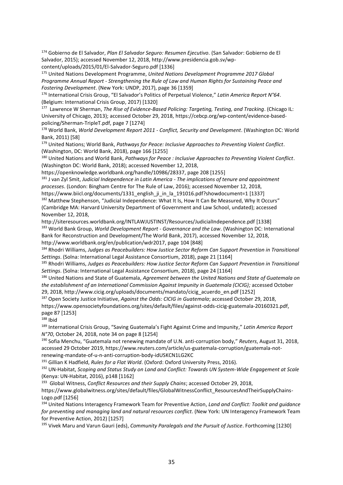<sup>174</sup> Gobierno de El Salvador, *Plan El Salvador Seguro: Resumen Ejecutivo.* (San Salvador: Gobierno de El Salvador, 2015); accessed November 12, 2018, http://www.presidencia.gob.sv/wpcontent/uploads/2015/01/El-Salvador-Seguro.pdf [1336]

<sup>175</sup> United Nations Development Programme, *United Nations Development Programme 2017 Global Programme Annual Report - Strengthening the Rule of Law and Human Rights for Sustaining Peace and Fostering Development*. (New York: UNDP, 2017), page 36 [1359]

<sup>176</sup> International Crisis Group, "El Salvador's Politics of Perpetual Violence," *Latin America Report N°64*. (Belgium: International Crisis Group, 2017) [1320]

<sup>177</sup> Lawrence W Sherman, *The Rise of Evidence-Based Policing: Targeting, Testing, and Tracking*. (Chicago IL: University of Chicago, 2013); accessed October 29, 2018, https://cebcp.org/wp-content/evidence-basedpolicing/Sherman-TripleT.pdf, page 7 [1274]

<sup>178</sup> World Bank, *World Development Report 2011 - Conflict, Security and Development*. (Washington DC: World Bank, 2011) [58]

<sup>179</sup> United Nations; World Bank, *Pathways for Peace: Inclusive Approaches to Preventing Violent Conflict*. (Washington, DC: World Bank, 2018), page 166 [1255]

<sup>180</sup> United Nations and World Bank, *Pathways for Peace : Inclusive Approaches to Preventing Violent Conflict*. (Washington DC: World Bank, 2018); accessed November 12, 2018,

https://openknowledge.worldbank.org/handle/10986/28337, page 208 [1255]

<sup>181</sup> J van Zyl Smit, *Judicial Independence in Latin America - The implications of tenure and appointment processes*. (London: Bingham Centre for The Rule of Law, 2016); accessed November 12, 2018,

https://www.biicl.org/documents/1331\_english\_ji\_in\_la\_191016.pdf?showdocument=1 [1337] <sup>182</sup> Matthew Stephenson, "Judicial Independence: What It Is, How It Can Be Measured, Why It Occurs" (Cambridge MA: Harvard University Department of Government and Law School, undated); accessed November 12, 2018,

http://siteresources.worldbank.org/INTLAWJUSTINST/Resources/JudicialIndependence.pdf [1338] <sup>183</sup> World Bank Group, *World Development Report - Governance and the Law*. (Washington DC: International Bank for Reconstruction and Development/The World Bank, 2017), accessed November 12, 2018, http://www.worldbank.org/en/publication/wdr2017, page 104 [848]

<sup>184</sup> Rhodri Williams, *Judges as Peacebuilders: How Justice Sector Reform Can Support Prevention in Transitional Settings*. (Solna: International Legal Assistance Consortium, 2018), page 21 [1164]

<sup>185</sup> Rhodri Williams, *Judges as Peacebuilders: How Justice Sector Reform Can Support Prevention in Transitional Settings*. (Solna: International Legal Assistance Consortium, 2018), page 24 [1164]

<sup>186</sup> United Nations and State of Guatemala, *Agreement between the United Nations and State of Guatemala on the establishment of an International Commission Against Impunity in Guatemala (CICIG);* accessed October 29, 2018, http://www.cicig.org/uploads/documents/mandato/cicig\_acuerdo\_en.pdf [1252]

<sup>187</sup> Open Society Justice Initiative, *Against the Odds: CICIG in Guatemala*; accessed October 29, 2018, https://www.opensocietyfoundations.org/sites/default/files/against-odds-cicig-guatemala-20160321.pdf, page 87 [1253]

<sup>188</sup> Ibid

<sup>189</sup> International Crisis Group, "Saving Guatemala's Fight Against Crime and Impunity," *Latin America Report N°70*, October 24, 2018, note 34 on page 8 [1254]

<sup>190</sup> Sofia Menchu, "Guatemala not renewing mandate of U.N. anti-corruption body," *Reuters*, August 31, 2018, accessed 29 October 2019, https://www.reuters.com/article/us-guatemala-corruption/guatemala-notrenewing-mandate-of-u-n-anti-corruption-body-idUSKCN1LG2KC

<sup>191</sup> Gillian K Hadfield, *Rules for a Flat World*. (Oxford: Oxford University Press, 2016).

<sup>192</sup> UN-Habitat, *Scoping and Status Study on Land and Conflict: Towards UN System-Wide Engagement at Scale* (Kenya: UN-Habitat, 2016), p148 [1162]

193 Global Witness, *Conflict Resources and their Supply Chains*; accessed October 29, 2018, https://www.globalwitness.org/sites/default/files/GlobalWitnessConflict\_ResourcesAndTheirSupplyChains-Logo.pdf [1256]

<sup>194</sup> United Nations Interagency Framework Team for Preventive Action, *Land and Conflict: Toolkit and guidance for preventing and managing land and natural resources conflict*. (New York: UN Interagency Framework Team for Preventive Action, 2012) [1257]

<sup>195</sup> Vivek Maru and Varun Gauri (eds), *Community Paralegals and the Pursuit of Justice*. Forthcoming [1230]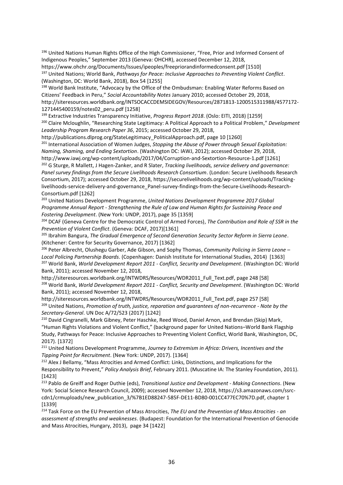196 United Nations Human Rights Office of the High Commissioner, "Free, Prior and Informed Consent of Indigenous Peoples," September 2013 (Geneva: OHCHR), accessed December 12, 2018, https://www.ohchr.org/Documents/Issues/ipeoples/freepriorandinformedconsent.pdf [1510] <sup>197</sup> United Nations; World Bank, *Pathways for Peace: Inclusive Approaches to Preventing Violent Conflict*. (Washington, DC: World Bank, 2018), Box 54 [1255]

198 World Bank Institute, "Advocacy by the Office of the Ombudsman: Enabling Water Reforms Based on Citizens' Feedback in Peru," *Social Accountability Notes* January 2010; accessed October 29, 2018, http://siteresources.worldbank.org/INTSOCACCDEMSIDEGOV/Resources/2871813-1200515311988/4577172- 1271445400159/notes02\_peru.pdf [1258]

<sup>199</sup> Extractive Industries Transparency Initiative, *Progress Report 2018*. (Oslo: EITI, 2018) [1259] <sup>200</sup> Claire Mcloughlin, "Researching State Legitimacy: A Political Approach to a Political Problem," *Development Leadership Program Research Paper 36*, 2015; accessed October 29, 2018,

http://publications.dlprog.org/StateLegitimacy\_PoliticalApproach.pdf, page 10 [1260]

<sup>201</sup> International Association of Women Judges, *Stopping the Abuse of Power through Sexual Exploitation: Naming, Shaming, and Ending Sextortion*. (Washington DC: IAWJ, 2012); accessed October 29, 2018, http://www.iawj.org/wp-content/uploads/2017/04/Corruption-and-Sextortion-Resource-1.pdf [1261]

<sup>202</sup> G Sturge, R Mallett, J Hagen-Zanker, and R Slater, *Tracking livelihoods, service delivery and governance: Panel survey findings from the Secure Livelihoods Research Consortium*. (London: Secure Livelihoods Research Consortium, 2017); accessed October 29, 2018, https://securelivelihoods.org/wp-content/uploads/Trackinglivelihoods-service-delivery-and-governance\_Panel-survey-findings-from-the-Secure-Livelihoods-Research-Consortium.pdf [1262]

<sup>203</sup> United Nations Development Programme, *United Nations Development Programme 2017 Global Programme Annual Report - Strengthening the Rule of Law and Human Rights for Sustaining Peace and Fostering Development*. (New York: UNDP, 2017), page 35 [1359]

<sup>204</sup> DCAF (Geneva Centre for the Democratic Control of Armed Forces), *The Contribution and Role of SSR in the Prevention of Violent Conflict*. (Geneva: DCAF, 2017)[1361]

<sup>205</sup> Ibrahim Bangura, *The Gradual Emergence of Second Generation Security Sector Reform in Sierra Leone*. (Kitchener: Centre for Security Governance, 2017) [1362]

<sup>206</sup> Peter Albrecht, Olushegu Garber, Ade Gibson, and Sophy Thomas, *Community Policing in Sierra Leone – Local Policing Partnership Boards*. (Copenhagen: Danish Institute for International Studies, 2014) [1363] <sup>207</sup> World Bank, *World Development Report 2011 - Conflict, Security and Development*. (Washington DC: World Bank, 2011); accessed November 12, 2018,

http://siteresources.worldbank.org/INTWDRS/Resources/WDR2011\_Full\_Text.pdf, page 248 [58] <sup>208</sup> World Bank, *World Development Report 2011 - Conflict, Security and Development*. (Washington DC: World Bank, 2011); accessed November 12, 2018,

http://siteresources.worldbank.org/INTWDRS/Resources/WDR2011\_Full\_Text.pdf, page 257 [58] <sup>209</sup> United Nations, *Promotion of truth, justice, reparation and guarantees of non-recurrence - Note by the Secretary-General*. UN Doc A/72/523 (2017) [1242]

<sup>210</sup> David Cingranelli, Mark Gibney, Peter Haschke, Reed Wood, Daniel Arnon, and Brendan (Skip) Mark, "Human Rights Violations and Violent Conflict," (background paper for United Nations–World Bank Flagship Study, Pathways for Peace: Inclusive Approaches to Preventing Violent Conflict, World Bank, Washington, DC, 2017). [1372]

<sup>211</sup> United Nations Development Programme, *Journey to Extremism in Africa: Drivers, Incentives and the Tipping Point for Recruitment*. (New York: UNDP, 2017). [1364]

<sup>212</sup> Alex J Bellamy, "Mass Atrocities and Armed Conflict: Links, Distinctions, and Implications for the Responsibility to Prevent," *Policy Analysis Brief*, February 2011. (Muscatine IA: The Stanley Foundation, 2011). [1423]

<sup>213</sup> Pablo de Greiff and Roger Duthie (eds), *Transitional Justice and Development - Making Connections*. (New York: Social Science Research Council, 2009); accessed November 12, 2018, https://s3.amazonaws.com/ssrccdn1/crmuploads/new\_publication\_3/%7B1ED88247-585F-DE11-BD80-001CC477EC70%7D.pdf, chapter 1 [1339]

<sup>214</sup> Task Force on the EU Prevention of Mass Atrocities, *The EU and the Prevention of Mass Atrocities - an assessment of strengths and weaknesses*. (Budapest: Foundation for the International Prevention of Genocide and Mass Atrocities, Hungary, 2013), page 34 [1422]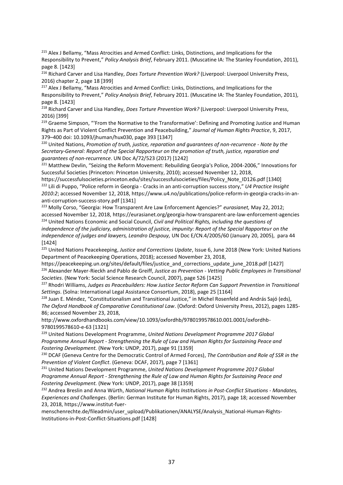<sup>215</sup> Alex J Bellamy, "Mass Atrocities and Armed Conflict: Links, Distinctions, and Implications for the Responsibility to Prevent," *Policy Analysis Brief*, February 2011. (Muscatine IA: The Stanley Foundation, 2011), page 8. [1423]

<sup>216</sup> Richard Carver and Lisa Handley, *Does Torture Prevention Work?* (Liverpool: Liverpool University Press, 2016) chapter 2, page 18 [399]

<sup>217</sup> Alex J Bellamy, "Mass Atrocities and Armed Conflict: Links, Distinctions, and Implications for the Responsibility to Prevent," *Policy Analysis Brief*, February 2011. (Muscatine IA: The Stanley Foundation, 2011), page 8. [1423]

<sup>218</sup> Richard Carver and Lisa Handley, *Does Torture Prevention Work?* (Liverpool: Liverpool University Press, 2016) [399]

<sup>219</sup> Graeme Simpson, "'From the Normative to the Transformative': Defining and Promoting Justice and Human Rights as Part of Violent Conflict Prevention and Peacebuilding," *Journal of Human Rights Practice*, 9, 2017, 379–400 doi: 10.1093/jhuman/hux030, page 393 [1347]

<sup>220</sup> United Nations, *Promotion of truth, justice, reparation and guarantees of non-recurrence - Note by the Secretary-General: Report of the Special Rapporteur on the promotion of truth, justice, reparation and guarantees of non-recurrence*. UN Doc A/72/523 (2017) [1242]

<sup>221</sup> Matthew Devlin, "Seizing the Reform Movement: Rebuilding Georgia's Police, 2004-2006," Innovations for Successful Societies (Princeton: Princeton University, 2010); accessed November 12, 2018,

https://successfulsocieties.princeton.edu/sites/successfulsocieties/files/Policy\_Note\_ID126.pdf [1340] <sup>222</sup> Lili di Puppo, "Police reform in Georgia - Cracks in an anti-corruption success story," *U4 Practice Insight 2010:2*; accessed November 12, 2018, https://www.u4.no/publications/police-reform-in-georgia-cracks-in-ananti-corruption-success-story.pdf [1341]

<sup>223</sup> Molly Corso, "Georgia: How Transparent Are Law Enforcement Agencies?" *eurasianet,* May 22, 2012; accessed November 12, 2018, https://eurasianet.org/georgia-how-transparent-are-law-enforcement-agencies <sup>224</sup> United Nations Economic and Social Council, *Civil and Political Rights, including the questions of independence of the judiciary, administration of justice, impunity: Report of the Special Rapporteur on the independence of judges and lawyers, Leandro Despouy,* UN Doc E/CN.4/2005/60 (January 20, 2005), para 44 [1424]

<sup>225</sup> United Nations Peacekeeping, *Justice and Corrections Update*, Issue 6, June 2018 (New York: United Nations Department of Peacekeeping Operations, 2018); accessed November 23, 2018,

https://peacekeeping.un.org/sites/default/files/justice\_and\_corrections\_update\_june\_2018.pdf [1427] <sup>226</sup> Alexander Mayer-Rieckh and Pablo de Greiff, *Justice as Prevention - Vetting Public Employees in Transitional Societies*. (New York: Social Science Research Council, 2007), page 526 [1425]

<sup>227</sup> Rhodri Williams, Judges as Peacebuilders: How Justice Sector Reform Can Support Prevention in Transitional *Settings*. (Solna: International Legal Assistance Consortium, 2018), page 25 [1164]

<sup>228</sup> Juan E. Méndez, "Constitutionalism and Transitional Justice," in Michel Rosenfeld and András Sajó (eds), *The Oxford Handbook of Comparative Constitutional Law*. (Oxford: Oxford University Press, 2012), pages 1285- 86; accessed November 23, 2018,

http://www.oxfordhandbooks.com/view/10.1093/oxfordhb/9780199578610.001.0001/oxfordhb-9780199578610-e-63 [1321]

<sup>229</sup> United Nations Development Programme, *United Nations Development Programme 2017 Global Programme Annual Report - Strengthening the Rule of Law and Human Rights for Sustaining Peace and Fostering Development.* (New York: UNDP, 2017), page 91 [1359]

<sup>230</sup> DCAF (Geneva Centre for the Democratic Control of Armed Forces), *The Contribution and Role of SSR in the Prevention of Violent Conflict*. (Geneva: DCAF, 2017), page 7 [1361]

<sup>231</sup> United Nations Development Programme, *United Nations Development Programme 2017 Global Programme Annual Report - Strengthening the Rule of Law and Human Rights for Sustaining Peace and Fostering Development.* (New York: UNDP, 2017), page 38 [1359]

<sup>232</sup> Andrea Breslin and Anna Würth, *National Human Rights Institutions in Post-Conflict Situations - Mandates, Experiences and Challenges*. (Berlin: German Institute for Human Rights, 2017), page 18; accessed November 23, 2018, https://www.institut-fuer-

menschenrechte.de/fileadmin/user\_upload/Publikationen/ANALYSE/Analysis\_National-Human-Rights-Institutions-in-Post-Conflict-Situations.pdf [1428]